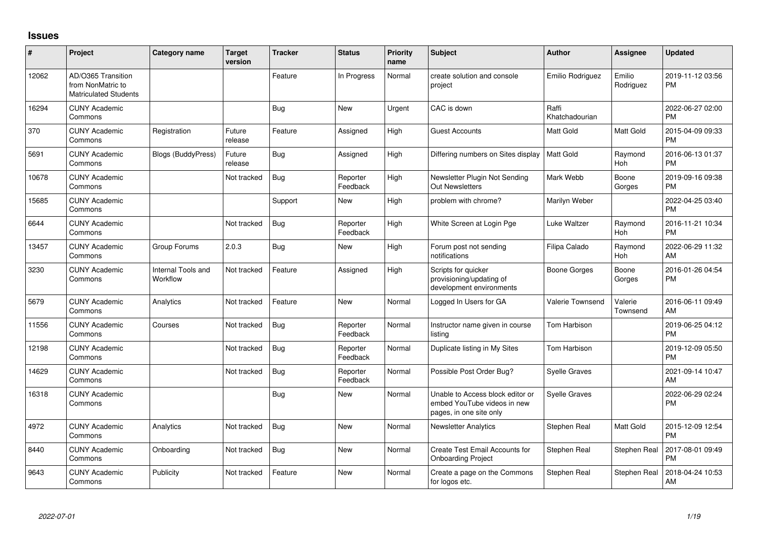## **Issues**

| ∦     | Project                                                                 | <b>Category name</b>           | <b>Target</b><br>version | <b>Tracker</b> | <b>Status</b>        | <b>Priority</b><br>name | <b>Subject</b>                                                                             | <b>Author</b>           | <b>Assignee</b>     | <b>Updated</b>                |
|-------|-------------------------------------------------------------------------|--------------------------------|--------------------------|----------------|----------------------|-------------------------|--------------------------------------------------------------------------------------------|-------------------------|---------------------|-------------------------------|
| 12062 | AD/O365 Transition<br>from NonMatric to<br><b>Matriculated Students</b> |                                |                          | Feature        | In Progress          | Normal                  | create solution and console<br>project                                                     | Emilio Rodriguez        | Emilio<br>Rodriguez | 2019-11-12 03:56<br><b>PM</b> |
| 16294 | <b>CUNY Academic</b><br>Commons                                         |                                |                          | Bug            | <b>New</b>           | Urgent                  | CAC is down                                                                                | Raffi<br>Khatchadourian |                     | 2022-06-27 02:00<br><b>PM</b> |
| 370   | <b>CUNY Academic</b><br>Commons                                         | Registration                   | Future<br>release        | Feature        | Assigned             | High                    | <b>Guest Accounts</b>                                                                      | Matt Gold               | Matt Gold           | 2015-04-09 09:33<br><b>PM</b> |
| 5691  | <b>CUNY Academic</b><br>Commons                                         | Blogs (BuddyPress)             | Future<br>release        | <b>Bug</b>     | Assigned             | High                    | Differing numbers on Sites display                                                         | <b>Matt Gold</b>        | Raymond<br>Hoh      | 2016-06-13 01:37<br><b>PM</b> |
| 10678 | <b>CUNY Academic</b><br>Commons                                         |                                | Not tracked              | <b>Bug</b>     | Reporter<br>Feedback | High                    | Newsletter Plugin Not Sending<br>Out Newsletters                                           | Mark Webb               | Boone<br>Gorges     | 2019-09-16 09:38<br><b>PM</b> |
| 15685 | <b>CUNY Academic</b><br>Commons                                         |                                |                          | Support        | New                  | High                    | problem with chrome?                                                                       | Marilyn Weber           |                     | 2022-04-25 03:40<br><b>PM</b> |
| 6644  | <b>CUNY Academic</b><br>Commons                                         |                                | Not tracked              | Bug            | Reporter<br>Feedback | High                    | White Screen at Login Pge                                                                  | Luke Waltzer            | Raymond<br>Hoh      | 2016-11-21 10:34<br><b>PM</b> |
| 13457 | <b>CUNY Academic</b><br>Commons                                         | Group Forums                   | 2.0.3                    | Bug            | New                  | High                    | Forum post not sending<br>notifications                                                    | Filipa Calado           | Raymond<br>Hoh      | 2022-06-29 11:32<br>AM        |
| 3230  | <b>CUNY Academic</b><br>Commons                                         | Internal Tools and<br>Workflow | Not tracked              | Feature        | Assigned             | High                    | Scripts for quicker<br>provisioning/updating of<br>development environments                | <b>Boone Gorges</b>     | Boone<br>Gorges     | 2016-01-26 04:54<br><b>PM</b> |
| 5679  | <b>CUNY Academic</b><br>Commons                                         | Analytics                      | Not tracked              | Feature        | <b>New</b>           | Normal                  | Logged In Users for GA                                                                     | <b>Valerie Townsend</b> | Valerie<br>Townsend | 2016-06-11 09:49<br>AM        |
| 11556 | <b>CUNY Academic</b><br>Commons                                         | Courses                        | Not tracked              | Bug            | Reporter<br>Feedback | Normal                  | Instructor name given in course<br>listing                                                 | <b>Tom Harbison</b>     |                     | 2019-06-25 04:12<br><b>PM</b> |
| 12198 | <b>CUNY Academic</b><br>Commons                                         |                                | Not tracked              | Bug            | Reporter<br>Feedback | Normal                  | Duplicate listing in My Sites                                                              | Tom Harbison            |                     | 2019-12-09 05:50<br><b>PM</b> |
| 14629 | <b>CUNY Academic</b><br>Commons                                         |                                | Not tracked              | Bug            | Reporter<br>Feedback | Normal                  | Possible Post Order Bug?                                                                   | <b>Syelle Graves</b>    |                     | 2021-09-14 10:47<br>AM        |
| 16318 | <b>CUNY Academic</b><br>Commons                                         |                                |                          | Bug            | New                  | Normal                  | Unable to Access block editor or<br>embed YouTube videos in new<br>pages, in one site only | <b>Syelle Graves</b>    |                     | 2022-06-29 02:24<br><b>PM</b> |
| 4972  | <b>CUNY Academic</b><br>Commons                                         | Analytics                      | Not tracked              | <b>Bug</b>     | <b>New</b>           | Normal                  | <b>Newsletter Analytics</b>                                                                | Stephen Real            | Matt Gold           | 2015-12-09 12:54<br><b>PM</b> |
| 8440  | <b>CUNY Academic</b><br>Commons                                         | Onboarding                     | Not tracked              | Bug            | <b>New</b>           | Normal                  | Create Test Email Accounts for<br><b>Onboarding Project</b>                                | Stephen Real            | Stephen Real        | 2017-08-01 09:49<br><b>PM</b> |
| 9643  | <b>CUNY Academic</b><br>Commons                                         | Publicity                      | Not tracked              | Feature        | <b>New</b>           | Normal                  | Create a page on the Commons<br>for logos etc.                                             | Stephen Real            | Stephen Real        | 2018-04-24 10:53<br>AM        |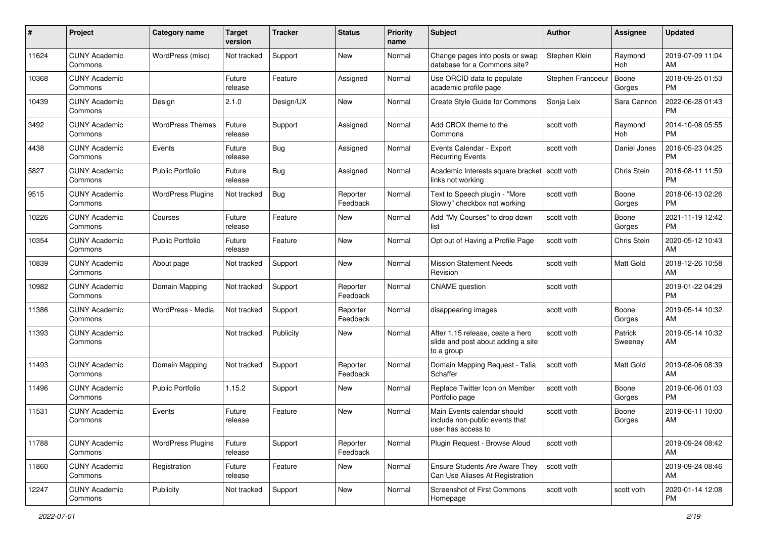| #     | Project                         | <b>Category name</b>     | <b>Target</b><br>version | <b>Tracker</b> | <b>Status</b>        | <b>Priority</b><br>name | Subject                                                                              | <b>Author</b>     | <b>Assignee</b>    | <b>Updated</b>                |
|-------|---------------------------------|--------------------------|--------------------------|----------------|----------------------|-------------------------|--------------------------------------------------------------------------------------|-------------------|--------------------|-------------------------------|
| 11624 | <b>CUNY Academic</b><br>Commons | WordPress (misc)         | Not tracked              | Support        | <b>New</b>           | Normal                  | Change pages into posts or swap<br>database for a Commons site?                      | Stephen Klein     | Raymond<br>Hoh     | 2019-07-09 11:04<br>AM        |
| 10368 | <b>CUNY Academic</b><br>Commons |                          | Future<br>release        | Feature        | Assigned             | Normal                  | Use ORCID data to populate<br>academic profile page                                  | Stephen Francoeur | Boone<br>Gorges    | 2018-09-25 01:53<br><b>PM</b> |
| 10439 | <b>CUNY Academic</b><br>Commons | Design                   | 2.1.0                    | Design/UX      | New                  | Normal                  | Create Style Guide for Commons                                                       | Sonja Leix        | Sara Cannon        | 2022-06-28 01:43<br><b>PM</b> |
| 3492  | <b>CUNY Academic</b><br>Commons | <b>WordPress Themes</b>  | Future<br>release        | Support        | Assigned             | Normal                  | Add CBOX theme to the<br>Commons                                                     | scott voth        | Raymond<br>Hoh     | 2014-10-08 05:55<br><b>PM</b> |
| 4438  | <b>CUNY Academic</b><br>Commons | Events                   | Future<br>release        | Bug            | Assigned             | Normal                  | Events Calendar - Export<br><b>Recurring Events</b>                                  | scott voth        | Daniel Jones       | 2016-05-23 04:25<br><b>PM</b> |
| 5827  | <b>CUNY Academic</b><br>Commons | <b>Public Portfolio</b>  | Future<br>release        | Bug            | Assigned             | Normal                  | Academic Interests square bracket<br>links not working                               | scott voth        | Chris Stein        | 2016-08-11 11:59<br><b>PM</b> |
| 9515  | <b>CUNY Academic</b><br>Commons | <b>WordPress Plugins</b> | Not tracked              | Bug            | Reporter<br>Feedback | Normal                  | Text to Speech plugin - "More<br>Slowly" checkbox not working                        | scott voth        | Boone<br>Gorges    | 2018-06-13 02:26<br>PM.       |
| 10226 | <b>CUNY Academic</b><br>Commons | Courses                  | Future<br>release        | Feature        | New                  | Normal                  | Add "My Courses" to drop down<br>list                                                | scott voth        | Boone<br>Gorges    | 2021-11-19 12:42<br>PM.       |
| 10354 | <b>CUNY Academic</b><br>Commons | <b>Public Portfolio</b>  | Future<br>release        | Feature        | New                  | Normal                  | Opt out of Having a Profile Page                                                     | scott voth        | Chris Stein        | 2020-05-12 10:43<br>AM.       |
| 10839 | <b>CUNY Academic</b><br>Commons | About page               | Not tracked              | Support        | New                  | Normal                  | <b>Mission Statement Needs</b><br>Revision                                           | scott voth        | Matt Gold          | 2018-12-26 10:58<br>AM        |
| 10982 | <b>CUNY Academic</b><br>Commons | Domain Mapping           | Not tracked              | Support        | Reporter<br>Feedback | Normal                  | <b>CNAME</b> question                                                                | scott voth        |                    | 2019-01-22 04:29<br><b>PM</b> |
| 11386 | <b>CUNY Academic</b><br>Commons | WordPress - Media        | Not tracked              | Support        | Reporter<br>Feedback | Normal                  | disappearing images                                                                  | scott voth        | Boone<br>Gorges    | 2019-05-14 10:32<br>AM        |
| 11393 | <b>CUNY Academic</b><br>Commons |                          | Not tracked              | Publicity      | New                  | Normal                  | After 1.15 release, ceate a hero<br>slide and post about adding a site<br>to a group | scott voth        | Patrick<br>Sweeney | 2019-05-14 10:32<br>AM        |
| 11493 | <b>CUNY Academic</b><br>Commons | Domain Mapping           | Not tracked              | Support        | Reporter<br>Feedback | Normal                  | Domain Mapping Request - Talia<br>Schaffer                                           | scott voth        | Matt Gold          | 2019-08-06 08:39<br>AM.       |
| 11496 | <b>CUNY Academic</b><br>Commons | <b>Public Portfolio</b>  | 1.15.2                   | Support        | New                  | Normal                  | Replace Twitter Icon on Member<br>Portfolio page                                     | scott voth        | Boone<br>Gorges    | 2019-06-06 01:03<br><b>PM</b> |
| 11531 | <b>CUNY Academic</b><br>Commons | Events                   | Future<br>release        | Feature        | New                  | Normal                  | Main Events calendar should<br>include non-public events that<br>user has access to  | scott voth        | Boone<br>Gorges    | 2019-06-11 10:00<br>AM        |
| 11788 | <b>CUNY Academic</b><br>Commons | <b>WordPress Plugins</b> | Future<br>release        | Support        | Reporter<br>Feedback | Normal                  | Plugin Request - Browse Aloud                                                        | scott voth        |                    | 2019-09-24 08:42<br>AM        |
| 11860 | <b>CUNY Academic</b><br>Commons | Registration             | Future<br>release        | Feature        | New                  | Normal                  | Ensure Students Are Aware They<br>Can Use Aliases At Registration                    | scott voth        |                    | 2019-09-24 08:46<br>AM        |
| 12247 | <b>CUNY Academic</b><br>Commons | Publicity                | Not tracked              | Support        | New                  | Normal                  | <b>Screenshot of First Commons</b><br>Homepage                                       | scott voth        | scott voth         | 2020-01-14 12:08<br><b>PM</b> |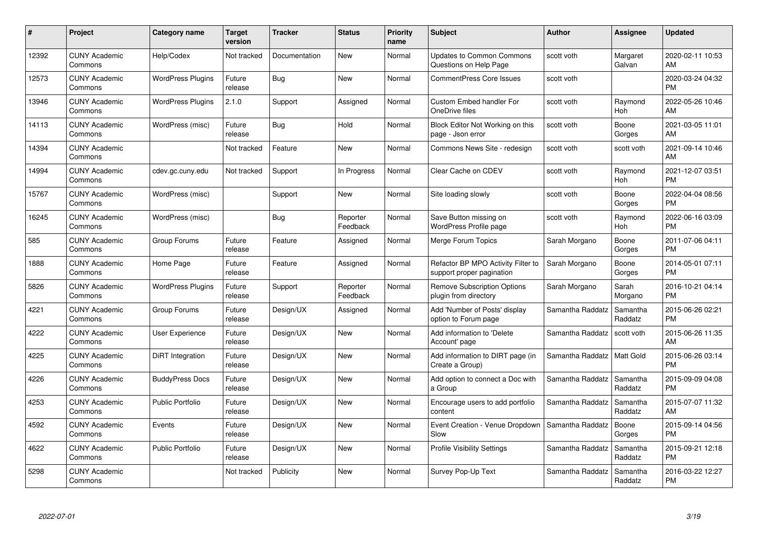| $\pmb{\#}$ | Project                         | <b>Category name</b>     | <b>Target</b><br>version | <b>Tracker</b> | <b>Status</b>        | Priority<br>name | <b>Subject</b>                                                  | <b>Author</b>    | <b>Assignee</b>     | <b>Updated</b>                |
|------------|---------------------------------|--------------------------|--------------------------|----------------|----------------------|------------------|-----------------------------------------------------------------|------------------|---------------------|-------------------------------|
| 12392      | <b>CUNY Academic</b><br>Commons | Help/Codex               | Not tracked              | Documentation  | <b>New</b>           | Normal           | <b>Updates to Common Commons</b><br>Questions on Help Page      | scott voth       | Margaret<br>Galvan  | 2020-02-11 10:53<br>AM        |
| 12573      | <b>CUNY Academic</b><br>Commons | <b>WordPress Plugins</b> | Future<br>release        | Bug            | <b>New</b>           | Normal           | <b>CommentPress Core Issues</b>                                 | scott voth       |                     | 2020-03-24 04:32<br><b>PM</b> |
| 13946      | <b>CUNY Academic</b><br>Commons | <b>WordPress Plugins</b> | 2.1.0                    | Support        | Assigned             | Normal           | <b>Custom Embed handler For</b><br>OneDrive files               | scott voth       | Raymond<br>Hoh      | 2022-05-26 10:46<br>AM        |
| 14113      | <b>CUNY Academic</b><br>Commons | WordPress (misc)         | Future<br>release        | Bug            | Hold                 | Normal           | Block Editor Not Working on this<br>page - Json error           | scott voth       | Boone<br>Gorges     | 2021-03-05 11:01<br>AM        |
| 14394      | <b>CUNY Academic</b><br>Commons |                          | Not tracked              | Feature        | <b>New</b>           | Normal           | Commons News Site - redesign                                    | scott voth       | scott voth          | 2021-09-14 10:46<br>AM        |
| 14994      | <b>CUNY Academic</b><br>Commons | cdev.gc.cuny.edu         | Not tracked              | Support        | In Progress          | Normal           | Clear Cache on CDEV                                             | scott voth       | Raymond<br>Hoh      | 2021-12-07 03:51<br><b>PM</b> |
| 15767      | <b>CUNY Academic</b><br>Commons | WordPress (misc)         |                          | Support        | <b>New</b>           | Normal           | Site loading slowly                                             | scott voth       | Boone<br>Gorges     | 2022-04-04 08:56<br><b>PM</b> |
| 16245      | <b>CUNY Academic</b><br>Commons | WordPress (misc)         |                          | <b>Bug</b>     | Reporter<br>Feedback | Normal           | Save Button missing on<br><b>WordPress Profile page</b>         | scott voth       | Raymond<br>Hoh      | 2022-06-16 03:09<br><b>PM</b> |
| 585        | <b>CUNY Academic</b><br>Commons | Group Forums             | Future<br>release        | Feature        | Assigned             | Normal           | Merge Forum Topics                                              | Sarah Morgano    | Boone<br>Gorges     | 2011-07-06 04:11<br><b>PM</b> |
| 1888       | <b>CUNY Academic</b><br>Commons | Home Page                | Future<br>release        | Feature        | Assigned             | Normal           | Refactor BP MPO Activity Filter to<br>support proper pagination | Sarah Morgano    | Boone<br>Gorges     | 2014-05-01 07:11<br><b>PM</b> |
| 5826       | <b>CUNY Academic</b><br>Commons | <b>WordPress Plugins</b> | Future<br>release        | Support        | Reporter<br>Feedback | Normal           | <b>Remove Subscription Options</b><br>plugin from directory     | Sarah Morgano    | Sarah<br>Morgano    | 2016-10-21 04:14<br><b>PM</b> |
| 4221       | <b>CUNY Academic</b><br>Commons | Group Forums             | Future<br>release        | Design/UX      | Assigned             | Normal           | Add 'Number of Posts' display<br>option to Forum page           | Samantha Raddatz | Samantha<br>Raddatz | 2015-06-26 02:21<br><b>PM</b> |
| 4222       | <b>CUNY Academic</b><br>Commons | <b>User Experience</b>   | Future<br>release        | Design/UX      | New                  | Normal           | Add information to 'Delete<br>Account' page                     | Samantha Raddatz | scott voth          | 2015-06-26 11:35<br>AM        |
| 4225       | <b>CUNY Academic</b><br>Commons | DiRT Integration         | Future<br>release        | Design/UX      | New                  | Normal           | Add information to DIRT page (in<br>Create a Group)             | Samantha Raddatz | <b>Matt Gold</b>    | 2015-06-26 03:14<br><b>PM</b> |
| 4226       | <b>CUNY Academic</b><br>Commons | <b>BuddyPress Docs</b>   | Future<br>release        | Design/UX      | New                  | Normal           | Add option to connect a Doc with<br>a Group                     | Samantha Raddatz | Samantha<br>Raddatz | 2015-09-09 04:08<br><b>PM</b> |
| 4253       | <b>CUNY Academic</b><br>Commons | <b>Public Portfolio</b>  | Future<br>release        | Design/UX      | <b>New</b>           | Normal           | Encourage users to add portfolio<br>content                     | Samantha Raddatz | Samantha<br>Raddatz | 2015-07-07 11:32<br>AM        |
| 4592       | <b>CUNY Academic</b><br>Commons | Events                   | Future<br>release        | Design/UX      | New                  | Normal           | Event Creation - Venue Dropdown<br>Slow                         | Samantha Raddatz | Boone<br>Gorges     | 2015-09-14 04:56<br><b>PM</b> |
| 4622       | <b>CUNY Academic</b><br>Commons | Public Portfolio         | Future<br>release        | Design/UX      | New                  | Normal           | <b>Profile Visibility Settings</b>                              | Samantha Raddatz | Samantha<br>Raddatz | 2015-09-21 12:18<br><b>PM</b> |
| 5298       | <b>CUNY Academic</b><br>Commons |                          | Not tracked              | Publicity      | <b>New</b>           | Normal           | Survey Pop-Up Text                                              | Samantha Raddatz | Samantha<br>Raddatz | 2016-03-22 12:27<br><b>PM</b> |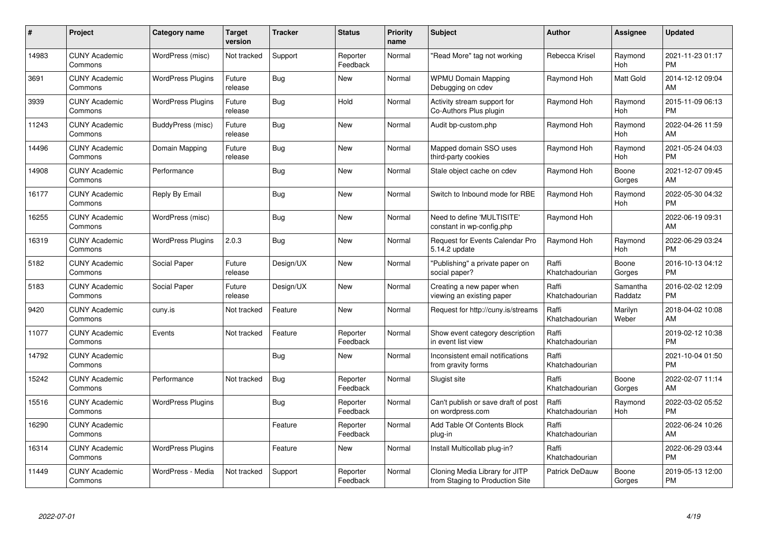| #     | <b>Project</b>                  | Category name            | Target<br>version | <b>Tracker</b> | <b>Status</b>        | <b>Priority</b><br>name | <b>Subject</b>                                                    | <b>Author</b>           | Assignee            | <b>Updated</b>                |
|-------|---------------------------------|--------------------------|-------------------|----------------|----------------------|-------------------------|-------------------------------------------------------------------|-------------------------|---------------------|-------------------------------|
| 14983 | <b>CUNY Academic</b><br>Commons | WordPress (misc)         | Not tracked       | Support        | Reporter<br>Feedback | Normal                  | "Read More" tag not working                                       | Rebecca Krisel          | Raymond<br>Hoh      | 2021-11-23 01:17<br><b>PM</b> |
| 3691  | <b>CUNY Academic</b><br>Commons | <b>WordPress Plugins</b> | Future<br>release | Bug            | New                  | Normal                  | <b>WPMU Domain Mapping</b><br>Debugging on cdev                   | Raymond Hoh             | Matt Gold           | 2014-12-12 09:04<br>AM        |
| 3939  | <b>CUNY Academic</b><br>Commons | <b>WordPress Plugins</b> | Future<br>release | Bug            | Hold                 | Normal                  | Activity stream support for<br>Co-Authors Plus plugin             | Raymond Hoh             | Raymond<br>Hoh      | 2015-11-09 06:13<br><b>PM</b> |
| 11243 | <b>CUNY Academic</b><br>Commons | BuddyPress (misc)        | Future<br>release | Bug            | New                  | Normal                  | Audit bp-custom.php                                               | Raymond Hoh             | Raymond<br>Hoh      | 2022-04-26 11:59<br><b>AM</b> |
| 14496 | <b>CUNY Academic</b><br>Commons | Domain Mapping           | Future<br>release | Bug            | <b>New</b>           | Normal                  | Mapped domain SSO uses<br>third-party cookies                     | Raymond Hoh             | Raymond<br>Hoh      | 2021-05-24 04:03<br><b>PM</b> |
| 14908 | <b>CUNY Academic</b><br>Commons | Performance              |                   | <b>Bug</b>     | <b>New</b>           | Normal                  | Stale object cache on cdev                                        | Raymond Hoh             | Boone<br>Gorges     | 2021-12-07 09:45<br><b>AM</b> |
| 16177 | <b>CUNY Academic</b><br>Commons | Reply By Email           |                   | <b>Bug</b>     | <b>New</b>           | Normal                  | Switch to Inbound mode for RBE                                    | Raymond Hoh             | Raymond<br>Hoh      | 2022-05-30 04:32<br><b>PM</b> |
| 16255 | <b>CUNY Academic</b><br>Commons | WordPress (misc)         |                   | <b>Bug</b>     | <b>New</b>           | Normal                  | Need to define 'MULTISITE'<br>constant in wp-config.php           | Raymond Hoh             |                     | 2022-06-19 09:31<br>AM        |
| 16319 | <b>CUNY Academic</b><br>Commons | <b>WordPress Plugins</b> | 2.0.3             | Bug            | <b>New</b>           | Normal                  | <b>Request for Events Calendar Pro</b><br>5.14.2 update           | Raymond Hoh             | Raymond<br>Hoh      | 2022-06-29 03:24<br><b>PM</b> |
| 5182  | <b>CUNY Academic</b><br>Commons | Social Paper             | Future<br>release | Design/UX      | <b>New</b>           | Normal                  | "Publishing" a private paper on<br>social paper?                  | Raffi<br>Khatchadourian | Boone<br>Gorges     | 2016-10-13 04:12<br><b>PM</b> |
| 5183  | <b>CUNY Academic</b><br>Commons | Social Paper             | Future<br>release | Design/UX      | New                  | Normal                  | Creating a new paper when<br>viewing an existing paper            | Raffi<br>Khatchadourian | Samantha<br>Raddatz | 2016-02-02 12:09<br><b>PM</b> |
| 9420  | <b>CUNY Academic</b><br>Commons | cuny.is                  | Not tracked       | Feature        | <b>New</b>           | Normal                  | Request for http://cuny.is/streams                                | Raffi<br>Khatchadourian | Marilyn<br>Weber    | 2018-04-02 10:08<br>AM        |
| 11077 | <b>CUNY Academic</b><br>Commons | Events                   | Not tracked       | Feature        | Reporter<br>Feedback | Normal                  | Show event category description<br>in event list view             | Raffi<br>Khatchadourian |                     | 2019-02-12 10:38<br><b>PM</b> |
| 14792 | <b>CUNY Academic</b><br>Commons |                          |                   | Bug            | New                  | Normal                  | Inconsistent email notifications<br>from gravity forms            | Raffi<br>Khatchadourian |                     | 2021-10-04 01:50<br><b>PM</b> |
| 15242 | <b>CUNY Academic</b><br>Commons | Performance              | Not tracked       | <b>Bug</b>     | Reporter<br>Feedback | Normal                  | Slugist site                                                      | Raffi<br>Khatchadourian | Boone<br>Gorges     | 2022-02-07 11:14<br>AM        |
| 15516 | <b>CUNY Academic</b><br>Commons | <b>WordPress Plugins</b> |                   | <b>Bug</b>     | Reporter<br>Feedback | Normal                  | Can't publish or save draft of post<br>on wordpress.com           | Raffi<br>Khatchadourian | Raymond<br>Hoh      | 2022-03-02 05:52<br><b>PM</b> |
| 16290 | <b>CUNY Academic</b><br>Commons |                          |                   | Feature        | Reporter<br>Feedback | Normal                  | Add Table Of Contents Block<br>plug-in                            | Raffi<br>Khatchadourian |                     | 2022-06-24 10:26<br><b>AM</b> |
| 16314 | <b>CUNY Academic</b><br>Commons | <b>WordPress Plugins</b> |                   | Feature        | New                  | Normal                  | Install Multicollab plug-in?                                      | Raffi<br>Khatchadourian |                     | 2022-06-29 03:44<br><b>PM</b> |
| 11449 | <b>CUNY Academic</b><br>Commons | WordPress - Media        | Not tracked       | Support        | Reporter<br>Feedback | Normal                  | Cloning Media Library for JITP<br>from Staging to Production Site | <b>Patrick DeDauw</b>   | Boone<br>Gorges     | 2019-05-13 12:00<br>PM        |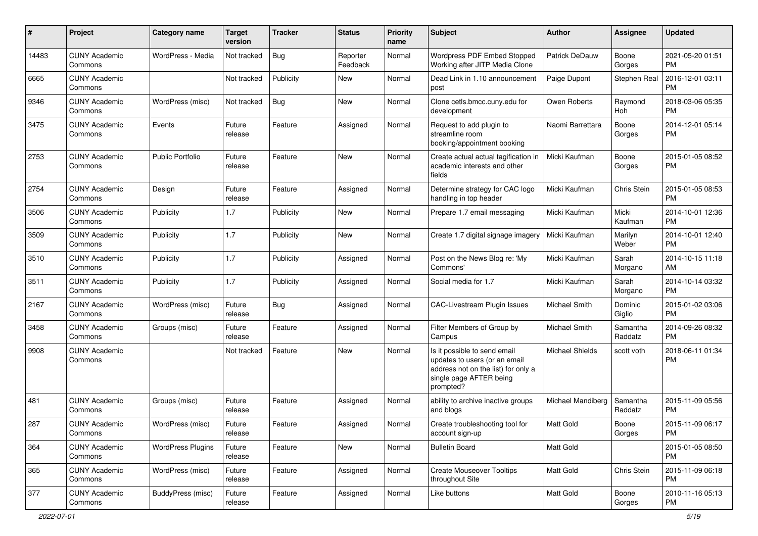| #     | Project                         | <b>Category name</b>     | <b>Target</b><br>version | <b>Tracker</b> | <b>Status</b>        | <b>Priority</b><br>name | Subject                                                                                                                                      | Author                 | Assignee            | <b>Updated</b>                |
|-------|---------------------------------|--------------------------|--------------------------|----------------|----------------------|-------------------------|----------------------------------------------------------------------------------------------------------------------------------------------|------------------------|---------------------|-------------------------------|
| 14483 | <b>CUNY Academic</b><br>Commons | WordPress - Media        | Not tracked              | Bug            | Reporter<br>Feedback | Normal                  | Wordpress PDF Embed Stopped<br>Working after JITP Media Clone                                                                                | <b>Patrick DeDauw</b>  | Boone<br>Gorges     | 2021-05-20 01:51<br>PM        |
| 6665  | <b>CUNY Academic</b><br>Commons |                          | Not tracked              | Publicity      | New                  | Normal                  | Dead Link in 1.10 announcement<br>post                                                                                                       | Paige Dupont           | Stephen Real        | 2016-12-01 03:11<br><b>PM</b> |
| 9346  | <b>CUNY Academic</b><br>Commons | WordPress (misc)         | Not tracked              | Bug            | New                  | Normal                  | Clone cetls.bmcc.cuny.edu for<br>development                                                                                                 | Owen Roberts           | Raymond<br>Hoh      | 2018-03-06 05:35<br><b>PM</b> |
| 3475  | <b>CUNY Academic</b><br>Commons | Events                   | Future<br>release        | Feature        | Assigned             | Normal                  | Request to add plugin to<br>streamline room<br>booking/appointment booking                                                                   | Naomi Barrettara       | Boone<br>Gorges     | 2014-12-01 05:14<br>РM        |
| 2753  | <b>CUNY Academic</b><br>Commons | <b>Public Portfolio</b>  | Future<br>release        | Feature        | New                  | Normal                  | Create actual actual tagification in<br>academic interests and other<br>fields                                                               | Micki Kaufman          | Boone<br>Gorges     | 2015-01-05 08:52<br>РM        |
| 2754  | <b>CUNY Academic</b><br>Commons | Design                   | Future<br>release        | Feature        | Assigned             | Normal                  | Determine strategy for CAC logo<br>handling in top header                                                                                    | Micki Kaufman          | Chris Stein         | 2015-01-05 08:53<br><b>PM</b> |
| 3506  | <b>CUNY Academic</b><br>Commons | Publicity                | 1.7                      | Publicity      | New                  | Normal                  | Prepare 1.7 email messaging                                                                                                                  | Micki Kaufman          | Micki<br>Kaufman    | 2014-10-01 12:36<br><b>PM</b> |
| 3509  | <b>CUNY Academic</b><br>Commons | Publicity                | 1.7                      | Publicity      | New                  | Normal                  | Create 1.7 digital signage imagery                                                                                                           | Micki Kaufman          | Marilyn<br>Weber    | 2014-10-01 12:40<br>PM        |
| 3510  | <b>CUNY Academic</b><br>Commons | Publicity                | 1.7                      | Publicity      | Assigned             | Normal                  | Post on the News Blog re: 'My<br>Commons'                                                                                                    | Micki Kaufman          | Sarah<br>Morgano    | 2014-10-15 11:18<br>AM        |
| 3511  | <b>CUNY Academic</b><br>Commons | Publicity                | 1.7                      | Publicity      | Assigned             | Normal                  | Social media for 1.7                                                                                                                         | Micki Kaufman          | Sarah<br>Morgano    | 2014-10-14 03:32<br>PM        |
| 2167  | <b>CUNY Academic</b><br>Commons | WordPress (misc)         | Future<br>release        | Bug            | Assigned             | Normal                  | CAC-Livestream Plugin Issues                                                                                                                 | Michael Smith          | Dominic<br>Giglio   | 2015-01-02 03:06<br><b>PM</b> |
| 3458  | <b>CUNY Academic</b><br>Commons | Groups (misc)            | Future<br>release        | Feature        | Assigned             | Normal                  | Filter Members of Group by<br>Campus                                                                                                         | Michael Smith          | Samantha<br>Raddatz | 2014-09-26 08:32<br><b>PM</b> |
| 9908  | <b>CUNY Academic</b><br>Commons |                          | Not tracked              | Feature        | <b>New</b>           | Normal                  | Is it possible to send email<br>updates to users (or an email<br>address not on the list) for only a<br>single page AFTER being<br>prompted? | <b>Michael Shields</b> | scott voth          | 2018-06-11 01:34<br>РM        |
| 481   | <b>CUNY Academic</b><br>Commons | Groups (misc)            | Future<br>release        | Feature        | Assigned             | Normal                  | ability to archive inactive groups<br>and blogs                                                                                              | Michael Mandiberg      | Samantha<br>Raddatz | 2015-11-09 05:56<br>РM        |
| 287   | <b>CUNY Academic</b><br>Commons | WordPress (misc)         | Future<br>release        | Feature        | Assigned             | Normal                  | Create troubleshooting tool for<br>account sign-up                                                                                           | Matt Gold              | Boone<br>Gorges     | 2015-11-09 06:17<br><b>PM</b> |
| 364   | <b>CUNY Academic</b><br>Commons | <b>WordPress Plugins</b> | Future<br>release        | Feature        | <b>New</b>           | Normal                  | <b>Bulletin Board</b>                                                                                                                        | Matt Gold              |                     | 2015-01-05 08:50<br><b>PM</b> |
| 365   | <b>CUNY Academic</b><br>Commons | WordPress (misc)         | Future<br>release        | Feature        | Assigned             | Normal                  | <b>Create Mouseover Tooltips</b><br>throughout Site                                                                                          | Matt Gold              | Chris Stein         | 2015-11-09 06:18<br>PM        |
| 377   | <b>CUNY Academic</b><br>Commons | BuddyPress (misc)        | Future<br>release        | Feature        | Assigned             | Normal                  | Like buttons                                                                                                                                 | Matt Gold              | Boone<br>Gorges     | 2010-11-16 05:13<br>PM        |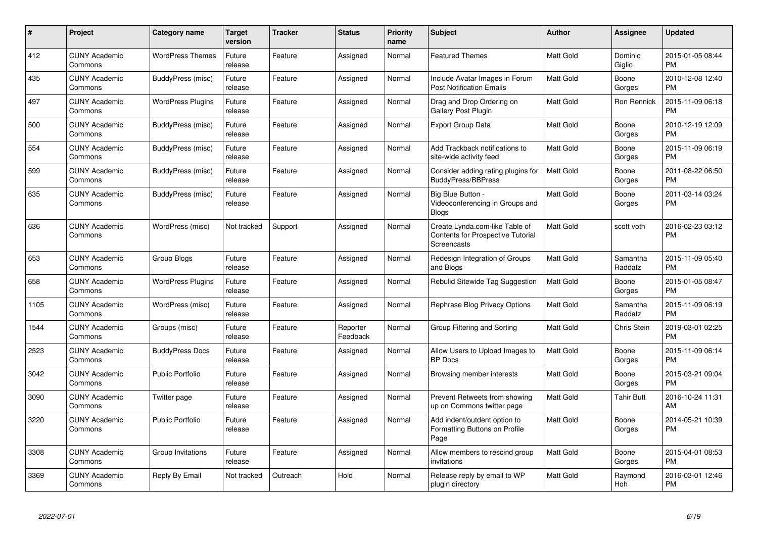| $\#$ | Project                         | Category name            | <b>Target</b><br>version | <b>Tracker</b> | <b>Status</b>        | <b>Priority</b><br>name | <b>Subject</b>                                                                            | <b>Author</b>    | Assignee            | <b>Updated</b>                |
|------|---------------------------------|--------------------------|--------------------------|----------------|----------------------|-------------------------|-------------------------------------------------------------------------------------------|------------------|---------------------|-------------------------------|
| 412  | <b>CUNY Academic</b><br>Commons | <b>WordPress Themes</b>  | Future<br>release        | Feature        | Assigned             | Normal                  | <b>Featured Themes</b>                                                                    | <b>Matt Gold</b> | Dominic<br>Giglio   | 2015-01-05 08:44<br><b>PM</b> |
| 435  | <b>CUNY Academic</b><br>Commons | BuddyPress (misc)        | Future<br>release        | Feature        | Assigned             | Normal                  | Include Avatar Images in Forum<br><b>Post Notification Emails</b>                         | <b>Matt Gold</b> | Boone<br>Gorges     | 2010-12-08 12:40<br><b>PM</b> |
| 497  | <b>CUNY Academic</b><br>Commons | <b>WordPress Plugins</b> | Future<br>release        | Feature        | Assigned             | Normal                  | Drag and Drop Ordering on<br>Gallery Post Plugin                                          | Matt Gold        | Ron Rennick         | 2015-11-09 06:18<br><b>PM</b> |
| 500  | <b>CUNY Academic</b><br>Commons | BuddyPress (misc)        | Future<br>release        | Feature        | Assigned             | Normal                  | <b>Export Group Data</b>                                                                  | Matt Gold        | Boone<br>Gorges     | 2010-12-19 12:09<br><b>PM</b> |
| 554  | <b>CUNY Academic</b><br>Commons | BuddyPress (misc)        | Future<br>release        | Feature        | Assigned             | Normal                  | Add Trackback notifications to<br>site-wide activity feed                                 | <b>Matt Gold</b> | Boone<br>Gorges     | 2015-11-09 06:19<br><b>PM</b> |
| 599  | <b>CUNY Academic</b><br>Commons | BuddyPress (misc)        | Future<br>release        | Feature        | Assigned             | Normal                  | Consider adding rating plugins for<br><b>BuddyPress/BBPress</b>                           | <b>Matt Gold</b> | Boone<br>Gorges     | 2011-08-22 06:50<br><b>PM</b> |
| 635  | <b>CUNY Academic</b><br>Commons | BuddyPress (misc)        | Future<br>release        | Feature        | Assigned             | Normal                  | Big Blue Button -<br>Videoconferencing in Groups and<br>Blogs                             | Matt Gold        | Boone<br>Gorges     | 2011-03-14 03:24<br><b>PM</b> |
| 636  | <b>CUNY Academic</b><br>Commons | WordPress (misc)         | Not tracked              | Support        | Assigned             | Normal                  | Create Lynda.com-like Table of<br><b>Contents for Prospective Tutorial</b><br>Screencasts | Matt Gold        | scott voth          | 2016-02-23 03:12<br><b>PM</b> |
| 653  | <b>CUNY Academic</b><br>Commons | <b>Group Blogs</b>       | Future<br>release        | Feature        | Assigned             | Normal                  | Redesign Integration of Groups<br>and Blogs                                               | <b>Matt Gold</b> | Samantha<br>Raddatz | 2015-11-09 05:40<br><b>PM</b> |
| 658  | <b>CUNY Academic</b><br>Commons | <b>WordPress Plugins</b> | Future<br>release        | Feature        | Assigned             | Normal                  | Rebulid Sitewide Tag Suggestion                                                           | <b>Matt Gold</b> | Boone<br>Gorges     | 2015-01-05 08:47<br><b>PM</b> |
| 1105 | <b>CUNY Academic</b><br>Commons | WordPress (misc)         | Future<br>release        | Feature        | Assigned             | Normal                  | Rephrase Blog Privacy Options                                                             | <b>Matt Gold</b> | Samantha<br>Raddatz | 2015-11-09 06:19<br><b>PM</b> |
| 1544 | <b>CUNY Academic</b><br>Commons | Groups (misc)            | Future<br>release        | Feature        | Reporter<br>Feedback | Normal                  | Group Filtering and Sorting                                                               | <b>Matt Gold</b> | Chris Stein         | 2019-03-01 02:25<br><b>PM</b> |
| 2523 | <b>CUNY Academic</b><br>Commons | <b>BuddyPress Docs</b>   | Future<br>release        | Feature        | Assigned             | Normal                  | Allow Users to Upload Images to<br><b>BP</b> Docs                                         | <b>Matt Gold</b> | Boone<br>Gorges     | 2015-11-09 06:14<br><b>PM</b> |
| 3042 | <b>CUNY Academic</b><br>Commons | <b>Public Portfolio</b>  | Future<br>release        | Feature        | Assigned             | Normal                  | Browsing member interests                                                                 | Matt Gold        | Boone<br>Gorges     | 2015-03-21 09:04<br><b>PM</b> |
| 3090 | <b>CUNY Academic</b><br>Commons | Twitter page             | Future<br>release        | Feature        | Assigned             | Normal                  | Prevent Retweets from showing<br>up on Commons twitter page                               | Matt Gold        | <b>Tahir Butt</b>   | 2016-10-24 11:31<br>AM        |
| 3220 | <b>CUNY Academic</b><br>Commons | <b>Public Portfolio</b>  | Future<br>release        | Feature        | Assigned             | Normal                  | Add indent/outdent option to<br>Formatting Buttons on Profile<br>Page                     | <b>Matt Gold</b> | Boone<br>Gorges     | 2014-05-21 10:39<br><b>PM</b> |
| 3308 | <b>CUNY Academic</b><br>Commons | Group Invitations        | Future<br>release        | Feature        | Assigned             | Normal                  | Allow members to rescind group<br>invitations                                             | <b>Matt Gold</b> | Boone<br>Gorges     | 2015-04-01 08:53<br><b>PM</b> |
| 3369 | <b>CUNY Academic</b><br>Commons | Reply By Email           | Not tracked              | Outreach       | Hold                 | Normal                  | Release reply by email to WP<br>plugin directory                                          | Matt Gold        | Raymond<br>Hoh      | 2016-03-01 12:46<br><b>PM</b> |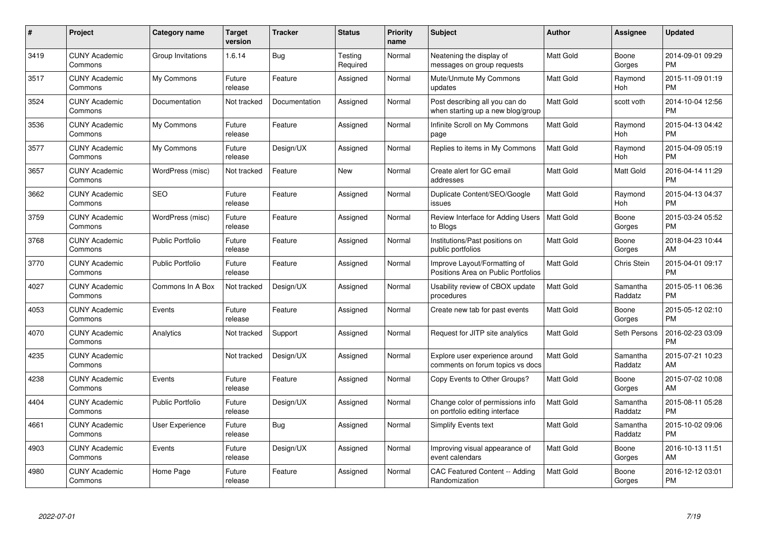| $\#$ | Project                         | <b>Category name</b>    | <b>Target</b><br>version | <b>Tracker</b> | <b>Status</b>       | Priority<br>name | <b>Subject</b>                                                      | <b>Author</b>    | Assignee            | <b>Updated</b>                |
|------|---------------------------------|-------------------------|--------------------------|----------------|---------------------|------------------|---------------------------------------------------------------------|------------------|---------------------|-------------------------------|
| 3419 | <b>CUNY Academic</b><br>Commons | Group Invitations       | 1.6.14                   | Bug            | Testing<br>Required | Normal           | Neatening the display of<br>messages on group requests              | <b>Matt Gold</b> | Boone<br>Gorges     | 2014-09-01 09:29<br><b>PM</b> |
| 3517 | <b>CUNY Academic</b><br>Commons | My Commons              | Future<br>release        | Feature        | Assigned            | Normal           | Mute/Unmute My Commons<br>updates                                   | <b>Matt Gold</b> | Raymond<br>Hoh      | 2015-11-09 01:19<br><b>PM</b> |
| 3524 | <b>CUNY Academic</b><br>Commons | Documentation           | Not tracked              | Documentation  | Assigned            | Normal           | Post describing all you can do<br>when starting up a new blog/group | <b>Matt Gold</b> | scott voth          | 2014-10-04 12:56<br><b>PM</b> |
| 3536 | <b>CUNY Academic</b><br>Commons | My Commons              | Future<br>release        | Feature        | Assigned            | Normal           | Infinite Scroll on My Commons<br>page                               | Matt Gold        | Raymond<br>Hoh      | 2015-04-13 04:42<br><b>PM</b> |
| 3577 | <b>CUNY Academic</b><br>Commons | My Commons              | Future<br>release        | Design/UX      | Assigned            | Normal           | Replies to items in My Commons                                      | <b>Matt Gold</b> | Raymond<br>Hoh      | 2015-04-09 05:19<br><b>PM</b> |
| 3657 | <b>CUNY Academic</b><br>Commons | WordPress (misc)        | Not tracked              | Feature        | <b>New</b>          | Normal           | Create alert for GC email<br>addresses                              | Matt Gold        | Matt Gold           | 2016-04-14 11:29<br><b>PM</b> |
| 3662 | <b>CUNY Academic</b><br>Commons | <b>SEO</b>              | Future<br>release        | Feature        | Assigned            | Normal           | Duplicate Content/SEO/Google<br>issues                              | Matt Gold        | Raymond<br>Hoh      | 2015-04-13 04:37<br><b>PM</b> |
| 3759 | <b>CUNY Academic</b><br>Commons | WordPress (misc)        | Future<br>release        | Feature        | Assigned            | Normal           | Review Interface for Adding Users<br>to Blogs                       | Matt Gold        | Boone<br>Gorges     | 2015-03-24 05:52<br><b>PM</b> |
| 3768 | <b>CUNY Academic</b><br>Commons | <b>Public Portfolio</b> | Future<br>release        | Feature        | Assigned            | Normal           | Institutions/Past positions on<br>public portfolios                 | Matt Gold        | Boone<br>Gorges     | 2018-04-23 10:44<br>AM        |
| 3770 | <b>CUNY Academic</b><br>Commons | <b>Public Portfolio</b> | Future<br>release        | Feature        | Assigned            | Normal           | Improve Layout/Formatting of<br>Positions Area on Public Portfolios | <b>Matt Gold</b> | Chris Stein         | 2015-04-01 09:17<br><b>PM</b> |
| 4027 | <b>CUNY Academic</b><br>Commons | Commons In A Box        | Not tracked              | Design/UX      | Assigned            | Normal           | Usability review of CBOX update<br>procedures                       | Matt Gold        | Samantha<br>Raddatz | 2015-05-11 06:36<br><b>PM</b> |
| 4053 | <b>CUNY Academic</b><br>Commons | Events                  | Future<br>release        | Feature        | Assigned            | Normal           | Create new tab for past events                                      | Matt Gold        | Boone<br>Gorges     | 2015-05-12 02:10<br><b>PM</b> |
| 4070 | <b>CUNY Academic</b><br>Commons | Analytics               | Not tracked              | Support        | Assigned            | Normal           | Request for JITP site analytics                                     | Matt Gold        | Seth Persons        | 2016-02-23 03:09<br><b>PM</b> |
| 4235 | <b>CUNY Academic</b><br>Commons |                         | Not tracked              | Design/UX      | Assigned            | Normal           | Explore user experience around<br>comments on forum topics vs docs  | <b>Matt Gold</b> | Samantha<br>Raddatz | 2015-07-21 10:23<br>AM        |
| 4238 | <b>CUNY Academic</b><br>Commons | Events                  | Future<br>release        | Feature        | Assigned            | Normal           | Copy Events to Other Groups?                                        | Matt Gold        | Boone<br>Gorges     | 2015-07-02 10:08<br>AM        |
| 4404 | <b>CUNY Academic</b><br>Commons | <b>Public Portfolio</b> | Future<br>release        | Design/UX      | Assigned            | Normal           | Change color of permissions info<br>on portfolio editing interface  | Matt Gold        | Samantha<br>Raddatz | 2015-08-11 05:28<br><b>PM</b> |
| 4661 | <b>CUNY Academic</b><br>Commons | User Experience         | Future<br>release        | Bug            | Assigned            | Normal           | <b>Simplify Events text</b>                                         | <b>Matt Gold</b> | Samantha<br>Raddatz | 2015-10-02 09:06<br><b>PM</b> |
| 4903 | <b>CUNY Academic</b><br>Commons | Events                  | Future<br>release        | Design/UX      | Assigned            | Normal           | Improving visual appearance of<br>event calendars                   | <b>Matt Gold</b> | Boone<br>Gorges     | 2016-10-13 11:51<br>AM        |
| 4980 | CUNY Academic<br>Commons        | Home Page               | Future<br>release        | Feature        | Assigned            | Normal           | CAC Featured Content -- Adding<br>Randomization                     | <b>Matt Gold</b> | Boone<br>Gorges     | 2016-12-12 03:01<br><b>PM</b> |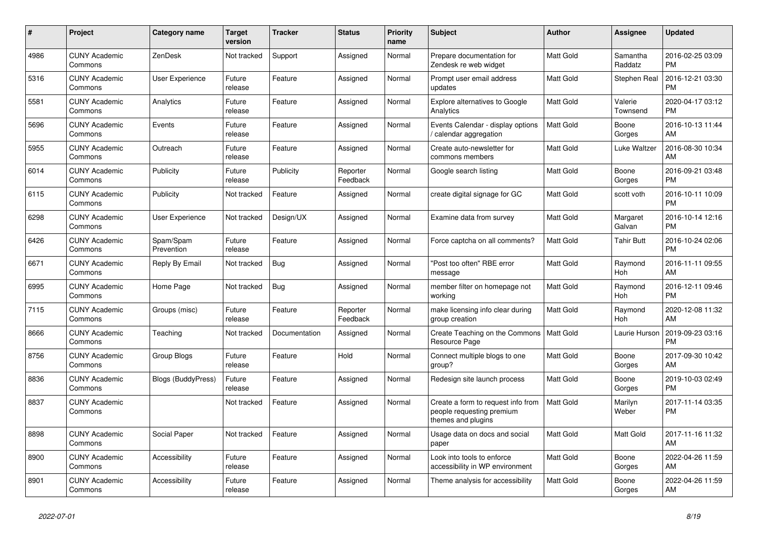| $\pmb{\#}$ | Project                         | <b>Category name</b>    | <b>Target</b><br>version | <b>Tracker</b> | <b>Status</b>        | <b>Priority</b><br>name | <b>Subject</b>                                                                        | <b>Author</b>    | Assignee            | <b>Updated</b>                |
|------------|---------------------------------|-------------------------|--------------------------|----------------|----------------------|-------------------------|---------------------------------------------------------------------------------------|------------------|---------------------|-------------------------------|
| 4986       | <b>CUNY Academic</b><br>Commons | ZenDesk                 | Not tracked              | Support        | Assigned             | Normal                  | Prepare documentation for<br>Zendesk re web widget                                    | <b>Matt Gold</b> | Samantha<br>Raddatz | 2016-02-25 03:09<br><b>PM</b> |
| 5316       | <b>CUNY Academic</b><br>Commons | User Experience         | Future<br>release        | Feature        | Assigned             | Normal                  | Prompt user email address<br>updates                                                  | Matt Gold        | Stephen Real        | 2016-12-21 03:30<br><b>PM</b> |
| 5581       | <b>CUNY Academic</b><br>Commons | Analytics               | Future<br>release        | Feature        | Assigned             | Normal                  | <b>Explore alternatives to Google</b><br>Analytics                                    | <b>Matt Gold</b> | Valerie<br>Townsend | 2020-04-17 03:12<br><b>PM</b> |
| 5696       | <b>CUNY Academic</b><br>Commons | Events                  | Future<br>release        | Feature        | Assigned             | Normal                  | Events Calendar - display options<br>calendar aggregation                             | <b>Matt Gold</b> | Boone<br>Gorges     | 2016-10-13 11:44<br>AM        |
| 5955       | <b>CUNY Academic</b><br>Commons | Outreach                | Future<br>release        | Feature        | Assigned             | Normal                  | Create auto-newsletter for<br>commons members                                         | Matt Gold        | Luke Waltzer        | 2016-08-30 10:34<br>AM        |
| 6014       | <b>CUNY Academic</b><br>Commons | Publicity               | Future<br>release        | Publicity      | Reporter<br>Feedback | Normal                  | Google search listing                                                                 | Matt Gold        | Boone<br>Gorges     | 2016-09-21 03:48<br><b>PM</b> |
| 6115       | <b>CUNY Academic</b><br>Commons | Publicity               | Not tracked              | Feature        | Assigned             | Normal                  | create digital signage for GC                                                         | <b>Matt Gold</b> | scott voth          | 2016-10-11 10:09<br><b>PM</b> |
| 6298       | <b>CUNY Academic</b><br>Commons | User Experience         | Not tracked              | Design/UX      | Assigned             | Normal                  | Examine data from survey                                                              | <b>Matt Gold</b> | Margaret<br>Galvan  | 2016-10-14 12:16<br><b>PM</b> |
| 6426       | <b>CUNY Academic</b><br>Commons | Spam/Spam<br>Prevention | Future<br>release        | Feature        | Assigned             | Normal                  | Force captcha on all comments?                                                        | Matt Gold        | Tahir Butt          | 2016-10-24 02:06<br><b>PM</b> |
| 6671       | <b>CUNY Academic</b><br>Commons | Reply By Email          | Not tracked              | Bug            | Assigned             | Normal                  | "Post too often" RBE error<br>message                                                 | <b>Matt Gold</b> | Raymond<br>Hoh      | 2016-11-11 09:55<br>AM        |
| 6995       | <b>CUNY Academic</b><br>Commons | Home Page               | Not tracked              | Bug            | Assigned             | Normal                  | member filter on homepage not<br>working                                              | <b>Matt Gold</b> | Raymond<br>Hoh      | 2016-12-11 09:46<br><b>PM</b> |
| 7115       | <b>CUNY Academic</b><br>Commons | Groups (misc)           | Future<br>release        | Feature        | Reporter<br>Feedback | Normal                  | make licensing info clear during<br>group creation                                    | <b>Matt Gold</b> | Raymond<br>Hoh      | 2020-12-08 11:32<br>AM        |
| 8666       | <b>CUNY Academic</b><br>Commons | Teaching                | Not tracked              | Documentation  | Assigned             | Normal                  | Create Teaching on the Commons<br>Resource Page                                       | Matt Gold        | Laurie Hurson       | 2019-09-23 03:16<br><b>PM</b> |
| 8756       | <b>CUNY Academic</b><br>Commons | Group Blogs             | Future<br>release        | Feature        | Hold                 | Normal                  | Connect multiple blogs to one<br>group?                                               | <b>Matt Gold</b> | Boone<br>Gorges     | 2017-09-30 10:42<br>AM        |
| 8836       | <b>CUNY Academic</b><br>Commons | Blogs (BuddyPress)      | Future<br>release        | Feature        | Assigned             | Normal                  | Redesign site launch process                                                          | Matt Gold        | Boone<br>Gorges     | 2019-10-03 02:49<br><b>PM</b> |
| 8837       | <b>CUNY Academic</b><br>Commons |                         | Not tracked              | Feature        | Assigned             | Normal                  | Create a form to request info from<br>people requesting premium<br>themes and plugins | <b>Matt Gold</b> | Marilyn<br>Weber    | 2017-11-14 03:35<br><b>PM</b> |
| 8898       | <b>CUNY Academic</b><br>Commons | Social Paper            | Not tracked              | Feature        | Assigned             | Normal                  | Usage data on docs and social<br>paper                                                | <b>Matt Gold</b> | Matt Gold           | 2017-11-16 11:32<br>AM        |
| 8900       | <b>CUNY Academic</b><br>Commons | Accessibility           | Future<br>release        | Feature        | Assigned             | Normal                  | Look into tools to enforce<br>accessibility in WP environment                         | <b>Matt Gold</b> | Boone<br>Gorges     | 2022-04-26 11:59<br>AM        |
| 8901       | <b>CUNY Academic</b><br>Commons | Accessibility           | Future<br>release        | Feature        | Assigned             | Normal                  | Theme analysis for accessibility                                                      | Matt Gold        | Boone<br>Gorges     | 2022-04-26 11:59<br>AM        |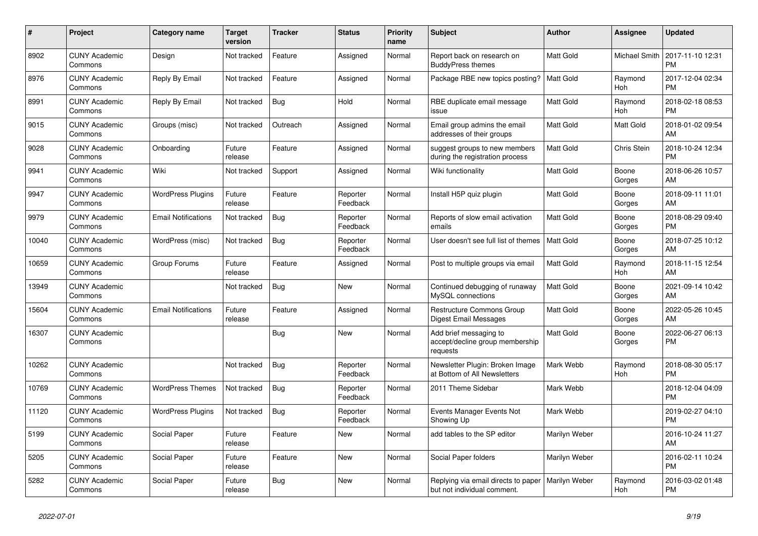| #     | Project                         | <b>Category name</b>       | <b>Target</b><br>version | <b>Tracker</b> | <b>Status</b>        | <b>Priority</b><br>name | <b>Subject</b>                                                        | <b>Author</b>    | Assignee        | <b>Updated</b>                |
|-------|---------------------------------|----------------------------|--------------------------|----------------|----------------------|-------------------------|-----------------------------------------------------------------------|------------------|-----------------|-------------------------------|
| 8902  | <b>CUNY Academic</b><br>Commons | Design                     | Not tracked              | Feature        | Assigned             | Normal                  | Report back on research on<br><b>BuddyPress themes</b>                | <b>Matt Gold</b> | Michael Smith   | 2017-11-10 12:31<br><b>PM</b> |
| 8976  | <b>CUNY Academic</b><br>Commons | Reply By Email             | Not tracked              | Feature        | Assigned             | Normal                  | Package RBE new topics posting?                                       | Matt Gold        | Raymond<br>Hoh  | 2017-12-04 02:34<br><b>PM</b> |
| 8991  | <b>CUNY Academic</b><br>Commons | Reply By Email             | Not tracked              | <b>Bug</b>     | Hold                 | Normal                  | RBE duplicate email message<br>issue                                  | <b>Matt Gold</b> | Raymond<br>Hoh  | 2018-02-18 08:53<br><b>PM</b> |
| 9015  | <b>CUNY Academic</b><br>Commons | Groups (misc)              | Not tracked              | Outreach       | Assigned             | Normal                  | Email group admins the email<br>addresses of their groups             | <b>Matt Gold</b> | Matt Gold       | 2018-01-02 09:54<br>AM        |
| 9028  | <b>CUNY Academic</b><br>Commons | Onboarding                 | Future<br>release        | Feature        | Assigned             | Normal                  | suggest groups to new members<br>during the registration process      | <b>Matt Gold</b> | Chris Stein     | 2018-10-24 12:34<br><b>PM</b> |
| 9941  | <b>CUNY Academic</b><br>Commons | Wiki                       | Not tracked              | Support        | Assigned             | Normal                  | Wiki functionality                                                    | Matt Gold        | Boone<br>Gorges | 2018-06-26 10:57<br>AM        |
| 9947  | <b>CUNY Academic</b><br>Commons | <b>WordPress Plugins</b>   | Future<br>release        | Feature        | Reporter<br>Feedback | Normal                  | Install H5P quiz plugin                                               | <b>Matt Gold</b> | Boone<br>Gorges | 2018-09-11 11:01<br>AM        |
| 9979  | <b>CUNY Academic</b><br>Commons | <b>Email Notifications</b> | Not tracked              | <b>Bug</b>     | Reporter<br>Feedback | Normal                  | Reports of slow email activation<br>emails                            | <b>Matt Gold</b> | Boone<br>Gorges | 2018-08-29 09:40<br><b>PM</b> |
| 10040 | <b>CUNY Academic</b><br>Commons | WordPress (misc)           | Not tracked              | Bug            | Reporter<br>Feedback | Normal                  | User doesn't see full list of themes                                  | <b>Matt Gold</b> | Boone<br>Gorges | 2018-07-25 10:12<br>AM        |
| 10659 | <b>CUNY Academic</b><br>Commons | Group Forums               | Future<br>release        | Feature        | Assigned             | Normal                  | Post to multiple groups via email                                     | <b>Matt Gold</b> | Raymond<br>Hoh  | 2018-11-15 12:54<br>AM        |
| 13949 | <b>CUNY Academic</b><br>Commons |                            | Not tracked              | Bug            | <b>New</b>           | Normal                  | Continued debugging of runaway<br>MySQL connections                   | <b>Matt Gold</b> | Boone<br>Gorges | 2021-09-14 10:42<br>AM        |
| 15604 | <b>CUNY Academic</b><br>Commons | <b>Email Notifications</b> | Future<br>release        | Feature        | Assigned             | Normal                  | <b>Restructure Commons Group</b><br>Digest Email Messages             | <b>Matt Gold</b> | Boone<br>Gorges | 2022-05-26 10:45<br>AM        |
| 16307 | <b>CUNY Academic</b><br>Commons |                            |                          | Bug            | New                  | Normal                  | Add brief messaging to<br>accept/decline group membership<br>requests | <b>Matt Gold</b> | Boone<br>Gorges | 2022-06-27 06:13<br><b>PM</b> |
| 10262 | <b>CUNY Academic</b><br>Commons |                            | Not tracked              | Bug            | Reporter<br>Feedback | Normal                  | Newsletter Plugin: Broken Image<br>at Bottom of All Newsletters       | Mark Webb        | Raymond<br>Hoh  | 2018-08-30 05:17<br><b>PM</b> |
| 10769 | <b>CUNY Academic</b><br>Commons | <b>WordPress Themes</b>    | Not tracked              | Bug            | Reporter<br>Feedback | Normal                  | 2011 Theme Sidebar                                                    | Mark Webb        |                 | 2018-12-04 04:09<br><b>PM</b> |
| 11120 | <b>CUNY Academic</b><br>Commons | <b>WordPress Plugins</b>   | Not tracked              | Bug            | Reporter<br>Feedback | Normal                  | Events Manager Events Not<br>Showing Up                               | Mark Webb        |                 | 2019-02-27 04:10<br><b>PM</b> |
| 5199  | <b>CUNY Academic</b><br>Commons | Social Paper               | Future<br>release        | Feature        | <b>New</b>           | Normal                  | add tables to the SP editor                                           | Marilyn Weber    |                 | 2016-10-24 11:27<br>AM        |
| 5205  | <b>CUNY Academic</b><br>Commons | Social Paper               | Future<br>release        | Feature        | New                  | Normal                  | Social Paper folders                                                  | Marilyn Weber    |                 | 2016-02-11 10:24<br><b>PM</b> |
| 5282  | <b>CUNY Academic</b><br>Commons | Social Paper               | Future<br>release        | Bug            | <b>New</b>           | Normal                  | Replying via email directs to paper<br>but not individual comment.    | Marilyn Weber    | Raymond<br>Hoh  | 2016-03-02 01:48<br><b>PM</b> |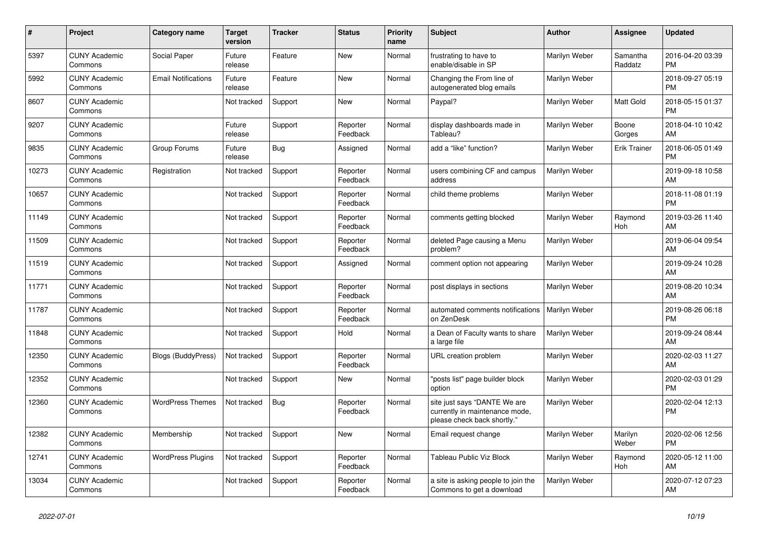| #     | <b>Project</b>                  | Category name              | <b>Target</b><br>version | <b>Tracker</b> | <b>Status</b>        | <b>Priority</b><br>name | <b>Subject</b>                                                                                | <b>Author</b> | Assignee            | <b>Updated</b>                |
|-------|---------------------------------|----------------------------|--------------------------|----------------|----------------------|-------------------------|-----------------------------------------------------------------------------------------------|---------------|---------------------|-------------------------------|
| 5397  | <b>CUNY Academic</b><br>Commons | Social Paper               | Future<br>release        | Feature        | New                  | Normal                  | frustrating to have to<br>enable/disable in SP                                                | Marilyn Weber | Samantha<br>Raddatz | 2016-04-20 03:39<br><b>PM</b> |
| 5992  | <b>CUNY Academic</b><br>Commons | <b>Email Notifications</b> | Future<br>release        | Feature        | New                  | Normal                  | Changing the From line of<br>autogenerated blog emails                                        | Marilyn Weber |                     | 2018-09-27 05:19<br><b>PM</b> |
| 8607  | <b>CUNY Academic</b><br>Commons |                            | Not tracked              | Support        | New                  | Normal                  | Paypal?                                                                                       | Marilyn Weber | Matt Gold           | 2018-05-15 01:37<br><b>PM</b> |
| 9207  | <b>CUNY Academic</b><br>Commons |                            | Future<br>release        | Support        | Reporter<br>Feedback | Normal                  | display dashboards made in<br>Tableau?                                                        | Marilyn Weber | Boone<br>Gorges     | 2018-04-10 10:42<br>AM        |
| 9835  | <b>CUNY Academic</b><br>Commons | Group Forums               | Future<br>release        | Bug            | Assigned             | Normal                  | add a "like" function?                                                                        | Marilyn Weber | <b>Erik Trainer</b> | 2018-06-05 01:49<br><b>PM</b> |
| 10273 | <b>CUNY Academic</b><br>Commons | Registration               | Not tracked              | Support        | Reporter<br>Feedback | Normal                  | users combining CF and campus<br>address                                                      | Marilyn Weber |                     | 2019-09-18 10:58<br>AM        |
| 10657 | <b>CUNY Academic</b><br>Commons |                            | Not tracked              | Support        | Reporter<br>Feedback | Normal                  | child theme problems                                                                          | Marilyn Weber |                     | 2018-11-08 01:19<br><b>PM</b> |
| 11149 | <b>CUNY Academic</b><br>Commons |                            | Not tracked              | Support        | Reporter<br>Feedback | Normal                  | comments getting blocked                                                                      | Marilyn Weber | Raymond<br>Hoh      | 2019-03-26 11:40<br>AM        |
| 11509 | <b>CUNY Academic</b><br>Commons |                            | Not tracked              | Support        | Reporter<br>Feedback | Normal                  | deleted Page causing a Menu<br>problem?                                                       | Marilyn Weber |                     | 2019-06-04 09:54<br>AM        |
| 11519 | <b>CUNY Academic</b><br>Commons |                            | Not tracked              | Support        | Assigned             | Normal                  | comment option not appearing                                                                  | Marilyn Weber |                     | 2019-09-24 10:28<br>AM        |
| 11771 | <b>CUNY Academic</b><br>Commons |                            | Not tracked              | Support        | Reporter<br>Feedback | Normal                  | post displays in sections                                                                     | Marilyn Weber |                     | 2019-08-20 10:34<br>AM        |
| 11787 | <b>CUNY Academic</b><br>Commons |                            | Not tracked              | Support        | Reporter<br>Feedback | Normal                  | automated comments notifications<br>on ZenDesk                                                | Marilyn Weber |                     | 2019-08-26 06:18<br><b>PM</b> |
| 11848 | <b>CUNY Academic</b><br>Commons |                            | Not tracked              | Support        | Hold                 | Normal                  | a Dean of Faculty wants to share<br>a large file                                              | Marilyn Weber |                     | 2019-09-24 08:44<br>AM        |
| 12350 | <b>CUNY Academic</b><br>Commons | Blogs (BuddyPress)         | Not tracked              | Support        | Reporter<br>Feedback | Normal                  | URL creation problem                                                                          | Marilyn Weber |                     | 2020-02-03 11:27<br>AM        |
| 12352 | <b>CUNY Academic</b><br>Commons |                            | Not tracked              | Support        | New                  | Normal                  | "posts list" page builder block<br>option                                                     | Marilyn Weber |                     | 2020-02-03 01:29<br><b>PM</b> |
| 12360 | <b>CUNY Academic</b><br>Commons | <b>WordPress Themes</b>    | Not tracked              | Bug            | Reporter<br>Feedback | Normal                  | site just says "DANTE We are<br>currently in maintenance mode,<br>please check back shortly." | Marilyn Weber |                     | 2020-02-04 12:13<br><b>PM</b> |
| 12382 | <b>CUNY Academic</b><br>Commons | Membership                 | Not tracked              | Support        | <b>New</b>           | Normal                  | Email request change                                                                          | Marilyn Weber | Marilyn<br>Weber    | 2020-02-06 12:56<br><b>PM</b> |
| 12741 | <b>CUNY Academic</b><br>Commons | <b>WordPress Plugins</b>   | Not tracked              | Support        | Reporter<br>Feedback | Normal                  | Tableau Public Viz Block                                                                      | Marilyn Weber | Raymond<br>Hoh      | 2020-05-12 11:00<br>AM        |
| 13034 | <b>CUNY Academic</b><br>Commons |                            | Not tracked              | Support        | Reporter<br>Feedback | Normal                  | a site is asking people to join the<br>Commons to get a download                              | Marilyn Weber |                     | 2020-07-12 07:23<br>AM        |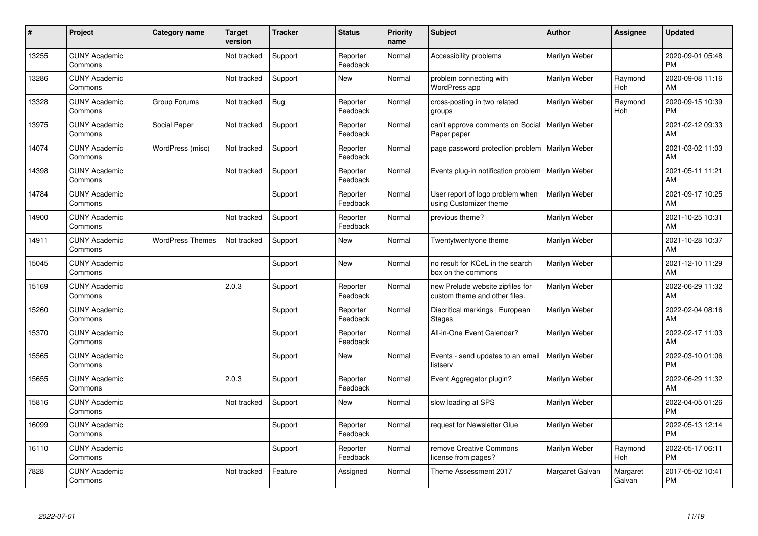| #     | Project                         | <b>Category name</b>    | <b>Target</b><br>version | <b>Tracker</b> | <b>Status</b>        | <b>Priority</b><br>name | <b>Subject</b>                                                    | <b>Author</b>   | <b>Assignee</b>    | <b>Updated</b>                |
|-------|---------------------------------|-------------------------|--------------------------|----------------|----------------------|-------------------------|-------------------------------------------------------------------|-----------------|--------------------|-------------------------------|
| 13255 | <b>CUNY Academic</b><br>Commons |                         | Not tracked              | Support        | Reporter<br>Feedback | Normal                  | Accessibility problems                                            | Marilyn Weber   |                    | 2020-09-01 05:48<br><b>PM</b> |
| 13286 | <b>CUNY Academic</b><br>Commons |                         | Not tracked              | Support        | <b>New</b>           | Normal                  | problem connecting with<br>WordPress app                          | Marilyn Weber   | Raymond<br>Hoh     | 2020-09-08 11:16<br>AM        |
| 13328 | <b>CUNY Academic</b><br>Commons | Group Forums            | Not tracked              | <b>Bug</b>     | Reporter<br>Feedback | Normal                  | cross-posting in two related<br>groups                            | Marilyn Weber   | Raymond<br>Hoh     | 2020-09-15 10:39<br><b>PM</b> |
| 13975 | <b>CUNY Academic</b><br>Commons | Social Paper            | Not tracked              | Support        | Reporter<br>Feedback | Normal                  | can't approve comments on Social<br>Paper paper                   | Marilyn Weber   |                    | 2021-02-12 09:33<br>AM        |
| 14074 | <b>CUNY Academic</b><br>Commons | WordPress (misc)        | Not tracked              | Support        | Reporter<br>Feedback | Normal                  | page password protection problem                                  | Marilyn Weber   |                    | 2021-03-02 11:03<br>AM        |
| 14398 | <b>CUNY Academic</b><br>Commons |                         | Not tracked              | Support        | Reporter<br>Feedback | Normal                  | Events plug-in notification problem   Marilyn Weber               |                 |                    | 2021-05-11 11:21<br>AM        |
| 14784 | <b>CUNY Academic</b><br>Commons |                         |                          | Support        | Reporter<br>Feedback | Normal                  | User report of logo problem when<br>using Customizer theme        | Marilyn Weber   |                    | 2021-09-17 10:25<br>AM        |
| 14900 | <b>CUNY Academic</b><br>Commons |                         | Not tracked              | Support        | Reporter<br>Feedback | Normal                  | previous theme?                                                   | Marilyn Weber   |                    | 2021-10-25 10:31<br>AM        |
| 14911 | <b>CUNY Academic</b><br>Commons | <b>WordPress Themes</b> | Not tracked              | Support        | New                  | Normal                  | Twentytwentyone theme                                             | Marilyn Weber   |                    | 2021-10-28 10:37<br>AM        |
| 15045 | <b>CUNY Academic</b><br>Commons |                         |                          | Support        | <b>New</b>           | Normal                  | no result for KCeL in the search<br>box on the commons            | Marilyn Weber   |                    | 2021-12-10 11:29<br>AM        |
| 15169 | <b>CUNY Academic</b><br>Commons |                         | 2.0.3                    | Support        | Reporter<br>Feedback | Normal                  | new Prelude website zipfiles for<br>custom theme and other files. | Marilyn Weber   |                    | 2022-06-29 11:32<br>AM        |
| 15260 | <b>CUNY Academic</b><br>Commons |                         |                          | Support        | Reporter<br>Feedback | Normal                  | Diacritical markings   European<br><b>Stages</b>                  | Marilyn Weber   |                    | 2022-02-04 08:16<br>AM        |
| 15370 | <b>CUNY Academic</b><br>Commons |                         |                          | Support        | Reporter<br>Feedback | Normal                  | All-in-One Event Calendar?                                        | Marilyn Weber   |                    | 2022-02-17 11:03<br>AM        |
| 15565 | <b>CUNY Academic</b><br>Commons |                         |                          | Support        | <b>New</b>           | Normal                  | Events - send updates to an email<br>listserv                     | Marilyn Weber   |                    | 2022-03-10 01:06<br><b>PM</b> |
| 15655 | <b>CUNY Academic</b><br>Commons |                         | 2.0.3                    | Support        | Reporter<br>Feedback | Normal                  | Event Aggregator plugin?                                          | Marilyn Weber   |                    | 2022-06-29 11:32<br>AM        |
| 15816 | <b>CUNY Academic</b><br>Commons |                         | Not tracked              | Support        | New                  | Normal                  | slow loading at SPS                                               | Marilyn Weber   |                    | 2022-04-05 01:26<br><b>PM</b> |
| 16099 | <b>CUNY Academic</b><br>Commons |                         |                          | Support        | Reporter<br>Feedback | Normal                  | request for Newsletter Glue                                       | Marilyn Weber   |                    | 2022-05-13 12:14<br><b>PM</b> |
| 16110 | <b>CUNY Academic</b><br>Commons |                         |                          | Support        | Reporter<br>Feedback | Normal                  | remove Creative Commons<br>license from pages?                    | Marilyn Weber   | Raymond<br>Hoh     | 2022-05-17 06:11<br><b>PM</b> |
| 7828  | <b>CUNY Academic</b><br>Commons |                         | Not tracked              | Feature        | Assigned             | Normal                  | Theme Assessment 2017                                             | Margaret Galvan | Margaret<br>Galvan | 2017-05-02 10:41<br><b>PM</b> |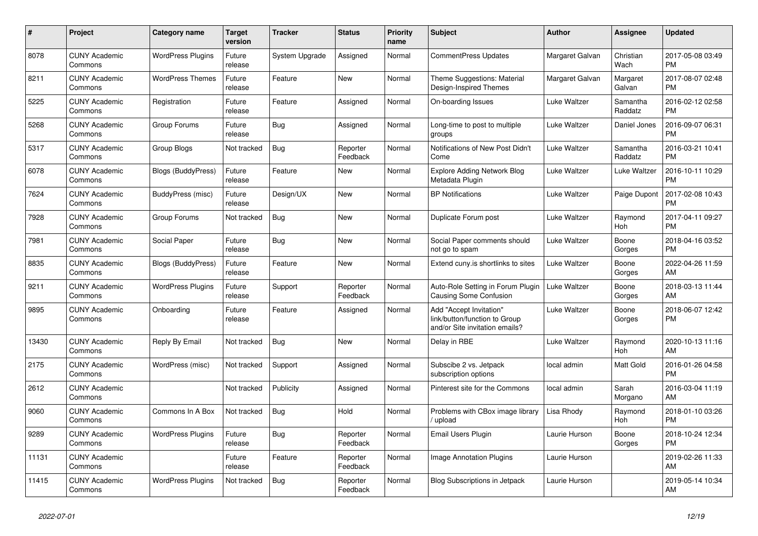| #     | Project                         | Category name             | <b>Target</b><br>version | Tracker        | <b>Status</b>        | <b>Priority</b><br>name | <b>Subject</b>                                                                             | <b>Author</b>   | <b>Assignee</b>     | <b>Updated</b>                |
|-------|---------------------------------|---------------------------|--------------------------|----------------|----------------------|-------------------------|--------------------------------------------------------------------------------------------|-----------------|---------------------|-------------------------------|
| 8078  | <b>CUNY Academic</b><br>Commons | <b>WordPress Plugins</b>  | Future<br>release        | System Upgrade | Assigned             | Normal                  | <b>CommentPress Updates</b>                                                                | Margaret Galvan | Christian<br>Wach   | 2017-05-08 03:49<br><b>PM</b> |
| 8211  | <b>CUNY Academic</b><br>Commons | <b>WordPress Themes</b>   | Future<br>release        | Feature        | New                  | Normal                  | Theme Suggestions: Material<br>Design-Inspired Themes                                      | Margaret Galvan | Margaret<br>Galvan  | 2017-08-07 02:48<br><b>PM</b> |
| 5225  | <b>CUNY Academic</b><br>Commons | Registration              | Future<br>release        | Feature        | Assigned             | Normal                  | On-boarding Issues                                                                         | Luke Waltzer    | Samantha<br>Raddatz | 2016-02-12 02:58<br><b>PM</b> |
| 5268  | <b>CUNY Academic</b><br>Commons | Group Forums              | Future<br>release        | <b>Bug</b>     | Assigned             | Normal                  | Long-time to post to multiple<br>groups                                                    | Luke Waltzer    | Daniel Jones        | 2016-09-07 06:31<br><b>PM</b> |
| 5317  | <b>CUNY Academic</b><br>Commons | Group Blogs               | Not tracked              | <b>Bug</b>     | Reporter<br>Feedback | Normal                  | Notifications of New Post Didn't<br>Come                                                   | Luke Waltzer    | Samantha<br>Raddatz | 2016-03-21 10:41<br><b>PM</b> |
| 6078  | <b>CUNY Academic</b><br>Commons | Blogs (BuddyPress)        | Future<br>release        | Feature        | New                  | Normal                  | Explore Adding Network Blog<br>Metadata Plugin                                             | Luke Waltzer    | Luke Waltzer        | 2016-10-11 10:29<br><b>PM</b> |
| 7624  | <b>CUNY Academic</b><br>Commons | BuddyPress (misc)         | Future<br>release        | Design/UX      | New                  | Normal                  | <b>BP</b> Notifications                                                                    | Luke Waltzer    | Paige Dupont        | 2017-02-08 10:43<br><b>PM</b> |
| 7928  | <b>CUNY Academic</b><br>Commons | Group Forums              | Not tracked              | <b>Bug</b>     | <b>New</b>           | Normal                  | Duplicate Forum post                                                                       | Luke Waltzer    | Raymond<br>Hoh      | 2017-04-11 09:27<br><b>PM</b> |
| 7981  | <b>CUNY Academic</b><br>Commons | Social Paper              | Future<br>release        | <b>Bug</b>     | New                  | Normal                  | Social Paper comments should<br>not go to spam                                             | Luke Waltzer    | Boone<br>Gorges     | 2018-04-16 03:52<br><b>PM</b> |
| 8835  | <b>CUNY Academic</b><br>Commons | <b>Blogs (BuddyPress)</b> | Future<br>release        | Feature        | New                  | Normal                  | Extend cuny.is shortlinks to sites                                                         | Luke Waltzer    | Boone<br>Gorges     | 2022-04-26 11:59<br>AM        |
| 9211  | <b>CUNY Academic</b><br>Commons | <b>WordPress Plugins</b>  | Future<br>release        | Support        | Reporter<br>Feedback | Normal                  | Auto-Role Setting in Forum Plugin<br>Causing Some Confusion                                | Luke Waltzer    | Boone<br>Gorges     | 2018-03-13 11:44<br>AM        |
| 9895  | <b>CUNY Academic</b><br>Commons | Onboarding                | Future<br>release        | Feature        | Assigned             | Normal                  | Add "Accept Invitation"<br>link/button/function to Group<br>and/or Site invitation emails? | Luke Waltzer    | Boone<br>Gorges     | 2018-06-07 12:42<br><b>PM</b> |
| 13430 | <b>CUNY Academic</b><br>Commons | Reply By Email            | Not tracked              | <b>Bug</b>     | <b>New</b>           | Normal                  | Delay in RBE                                                                               | Luke Waltzer    | Raymond<br>Hoh      | 2020-10-13 11:16<br>AM        |
| 2175  | <b>CUNY Academic</b><br>Commons | WordPress (misc)          | Not tracked              | Support        | Assigned             | Normal                  | Subscibe 2 vs. Jetpack<br>subscription options                                             | local admin     | Matt Gold           | 2016-01-26 04:58<br><b>PM</b> |
| 2612  | <b>CUNY Academic</b><br>Commons |                           | Not tracked              | Publicity      | Assigned             | Normal                  | Pinterest site for the Commons                                                             | local admin     | Sarah<br>Morgano    | 2016-03-04 11:19<br>AM        |
| 9060  | <b>CUNY Academic</b><br>Commons | Commons In A Box          | Not tracked              | <b>Bug</b>     | Hold                 | Normal                  | Problems with CBox image library<br>/ upload                                               | Lisa Rhody      | Raymond<br>Hoh      | 2018-01-10 03:26<br><b>PM</b> |
| 9289  | <b>CUNY Academic</b><br>Commons | <b>WordPress Plugins</b>  | Future<br>release        | Bug            | Reporter<br>Feedback | Normal                  | Email Users Plugin                                                                         | Laurie Hurson   | Boone<br>Gorges     | 2018-10-24 12:34<br><b>PM</b> |
| 11131 | <b>CUNY Academic</b><br>Commons |                           | Future<br>release        | Feature        | Reporter<br>Feedback | Normal                  | <b>Image Annotation Plugins</b>                                                            | Laurie Hurson   |                     | 2019-02-26 11:33<br>AM        |
| 11415 | <b>CUNY Academic</b><br>Commons | <b>WordPress Plugins</b>  | Not tracked              | <b>Bug</b>     | Reporter<br>Feedback | Normal                  | Blog Subscriptions in Jetpack                                                              | Laurie Hurson   |                     | 2019-05-14 10:34<br>AM        |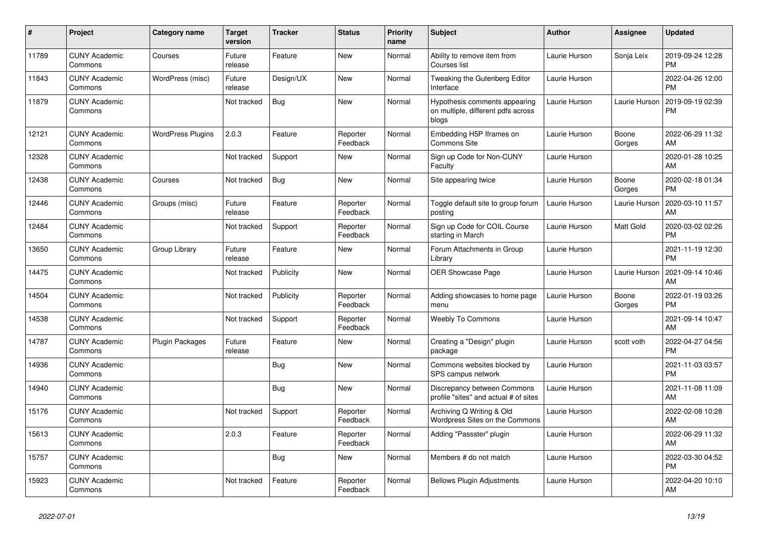| #     | Project                         | <b>Category name</b>     | <b>Target</b><br>version | <b>Tracker</b> | <b>Status</b>        | <b>Priority</b><br>name | <b>Subject</b>                                                               | <b>Author</b> | Assignee        | <b>Updated</b>                |
|-------|---------------------------------|--------------------------|--------------------------|----------------|----------------------|-------------------------|------------------------------------------------------------------------------|---------------|-----------------|-------------------------------|
| 11789 | <b>CUNY Academic</b><br>Commons | Courses                  | Future<br>release        | Feature        | New                  | Normal                  | Ability to remove item from<br>Courses list                                  | Laurie Hurson | Sonja Leix      | 2019-09-24 12:28<br><b>PM</b> |
| 11843 | <b>CUNY Academic</b><br>Commons | WordPress (misc)         | Future<br>release        | Design/UX      | New                  | Normal                  | Tweaking the Gutenberg Editor<br>Interface                                   | Laurie Hurson |                 | 2022-04-26 12:00<br><b>PM</b> |
| 11879 | <b>CUNY Academic</b><br>Commons |                          | Not tracked              | Bug            | <b>New</b>           | Normal                  | Hypothesis comments appearing<br>on multiple, different pdfs across<br>blogs | Laurie Hurson | Laurie Hurson   | 2019-09-19 02:39<br><b>PM</b> |
| 12121 | <b>CUNY Academic</b><br>Commons | <b>WordPress Plugins</b> | 2.0.3                    | Feature        | Reporter<br>Feedback | Normal                  | Embedding H5P Iframes on<br><b>Commons Site</b>                              | Laurie Hurson | Boone<br>Gorges | 2022-06-29 11:32<br><b>AM</b> |
| 12328 | <b>CUNY Academic</b><br>Commons |                          | Not tracked              | Support        | New                  | Normal                  | Sign up Code for Non-CUNY<br>Faculty                                         | Laurie Hurson |                 | 2020-01-28 10:25<br>AM        |
| 12438 | <b>CUNY Academic</b><br>Commons | Courses                  | Not tracked              | Bug            | <b>New</b>           | Normal                  | Site appearing twice                                                         | Laurie Hurson | Boone<br>Gorges | 2020-02-18 01:34<br><b>PM</b> |
| 12446 | <b>CUNY Academic</b><br>Commons | Groups (misc)            | Future<br>release        | Feature        | Reporter<br>Feedback | Normal                  | Toggle default site to group forum<br>posting                                | Laurie Hurson | Laurie Hurson   | 2020-03-10 11:57<br>AM        |
| 12484 | <b>CUNY Academic</b><br>Commons |                          | Not tracked              | Support        | Reporter<br>Feedback | Normal                  | Sign up Code for COIL Course<br>starting in March                            | Laurie Hurson | Matt Gold       | 2020-03-02 02:26<br><b>PM</b> |
| 13650 | <b>CUNY Academic</b><br>Commons | Group Library            | Future<br>release        | Feature        | New                  | Normal                  | Forum Attachments in Group<br>Library                                        | Laurie Hurson |                 | 2021-11-19 12:30<br><b>PM</b> |
| 14475 | <b>CUNY Academic</b><br>Commons |                          | Not tracked              | Publicity      | <b>New</b>           | Normal                  | <b>OER Showcase Page</b>                                                     | Laurie Hurson | Laurie Hurson   | 2021-09-14 10:46<br>AM        |
| 14504 | <b>CUNY Academic</b><br>Commons |                          | Not tracked              | Publicity      | Reporter<br>Feedback | Normal                  | Adding showcases to home page<br>menu                                        | Laurie Hurson | Boone<br>Gorges | 2022-01-19 03:26<br><b>PM</b> |
| 14538 | <b>CUNY Academic</b><br>Commons |                          | Not tracked              | Support        | Reporter<br>Feedback | Normal                  | <b>Weebly To Commons</b>                                                     | Laurie Hurson |                 | 2021-09-14 10:47<br><b>AM</b> |
| 14787 | <b>CUNY Academic</b><br>Commons | Plugin Packages          | Future<br>release        | Feature        | <b>New</b>           | Normal                  | Creating a "Design" plugin<br>package                                        | Laurie Hurson | scott voth      | 2022-04-27 04:56<br><b>PM</b> |
| 14936 | <b>CUNY Academic</b><br>Commons |                          |                          | Bug            | New                  | Normal                  | Commons websites blocked by<br>SPS campus network                            | Laurie Hurson |                 | 2021-11-03 03:57<br><b>PM</b> |
| 14940 | <b>CUNY Academic</b><br>Commons |                          |                          | <b>Bug</b>     | New                  | Normal                  | Discrepancy between Commons<br>profile "sites" and actual # of sites         | Laurie Hurson |                 | 2021-11-08 11:09<br><b>AM</b> |
| 15176 | <b>CUNY Academic</b><br>Commons |                          | Not tracked              | Support        | Reporter<br>Feedback | Normal                  | Archiving Q Writing & Old<br>Wordpress Sites on the Commons                  | Laurie Hurson |                 | 2022-02-08 10:28<br>AM        |
| 15613 | <b>CUNY Academic</b><br>Commons |                          | 2.0.3                    | Feature        | Reporter<br>Feedback | Normal                  | Adding "Passster" plugin                                                     | Laurie Hurson |                 | 2022-06-29 11:32<br>AM        |
| 15757 | <b>CUNY Academic</b><br>Commons |                          |                          | <b>Bug</b>     | New                  | Normal                  | Members # do not match                                                       | Laurie Hurson |                 | 2022-03-30 04:52<br><b>PM</b> |
| 15923 | <b>CUNY Academic</b><br>Commons |                          | Not tracked              | Feature        | Reporter<br>Feedback | Normal                  | <b>Bellows Plugin Adjustments</b>                                            | Laurie Hurson |                 | 2022-04-20 10:10<br>AM        |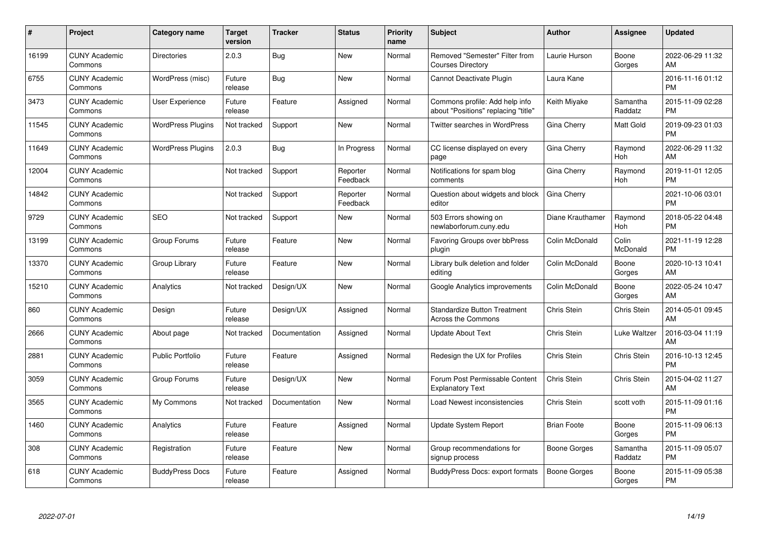| #     | <b>Project</b>                  | Category name            | Target<br>version | <b>Tracker</b> | <b>Status</b>        | <b>Priority</b><br>name | <b>Subject</b>                                                        | <b>Author</b>      | Assignee            | <b>Updated</b>                |
|-------|---------------------------------|--------------------------|-------------------|----------------|----------------------|-------------------------|-----------------------------------------------------------------------|--------------------|---------------------|-------------------------------|
| 16199 | <b>CUNY Academic</b><br>Commons | <b>Directories</b>       | 2.0.3             | Bug            | <b>New</b>           | Normal                  | Removed "Semester" Filter from<br><b>Courses Directory</b>            | Laurie Hurson      | Boone<br>Gorges     | 2022-06-29 11:32<br>AM.       |
| 6755  | <b>CUNY Academic</b><br>Commons | WordPress (misc)         | Future<br>release | Bug            | <b>New</b>           | Normal                  | Cannot Deactivate Plugin                                              | Laura Kane         |                     | 2016-11-16 01:12<br><b>PM</b> |
| 3473  | <b>CUNY Academic</b><br>Commons | <b>User Experience</b>   | Future<br>release | Feature        | Assigned             | Normal                  | Commons profile: Add help info<br>about "Positions" replacing "title" | Keith Miyake       | Samantha<br>Raddatz | 2015-11-09 02:28<br><b>PM</b> |
| 11545 | <b>CUNY Academic</b><br>Commons | <b>WordPress Plugins</b> | Not tracked       | Support        | New                  | Normal                  | Twitter searches in WordPress                                         | Gina Cherry        | Matt Gold           | 2019-09-23 01:03<br><b>PM</b> |
| 11649 | <b>CUNY Academic</b><br>Commons | <b>WordPress Plugins</b> | 2.0.3             | Bug            | In Progress          | Normal                  | CC license displayed on every<br>page                                 | Gina Cherry        | Raymond<br>Hoh      | 2022-06-29 11:32<br>AM        |
| 12004 | <b>CUNY Academic</b><br>Commons |                          | Not tracked       | Support        | Reporter<br>Feedback | Normal                  | Notifications for spam blog<br>comments                               | <b>Gina Cherry</b> | Raymond<br>Hoh      | 2019-11-01 12:05<br><b>PM</b> |
| 14842 | <b>CUNY Academic</b><br>Commons |                          | Not tracked       | Support        | Reporter<br>Feedback | Normal                  | Question about widgets and block<br>editor                            | <b>Gina Cherry</b> |                     | 2021-10-06 03:01<br><b>PM</b> |
| 9729  | <b>CUNY Academic</b><br>Commons | <b>SEO</b>               | Not tracked       | Support        | New                  | Normal                  | 503 Errors showing on<br>newlaborforum.cuny.edu                       | Diane Krauthamer   | Raymond<br>Hoh      | 2018-05-22 04:48<br><b>PM</b> |
| 13199 | <b>CUNY Academic</b><br>Commons | Group Forums             | Future<br>release | Feature        | New                  | Normal                  | Favoring Groups over bbPress<br>plugin                                | Colin McDonald     | Colin<br>McDonald   | 2021-11-19 12:28<br><b>PM</b> |
| 13370 | <b>CUNY Academic</b><br>Commons | Group Library            | Future<br>release | Feature        | <b>New</b>           | Normal                  | Library bulk deletion and folder<br>editing                           | Colin McDonald     | Boone<br>Gorges     | 2020-10-13 10:41<br>AM        |
| 15210 | <b>CUNY Academic</b><br>Commons | Analytics                | Not tracked       | Design/UX      | New                  | Normal                  | Google Analytics improvements                                         | Colin McDonald     | Boone<br>Gorges     | 2022-05-24 10:47<br>AM        |
| 860   | <b>CUNY Academic</b><br>Commons | Design                   | Future<br>release | Design/UX      | Assigned             | Normal                  | <b>Standardize Button Treatment</b><br><b>Across the Commons</b>      | Chris Stein        | Chris Stein         | 2014-05-01 09:45<br><b>AM</b> |
| 2666  | <b>CUNY Academic</b><br>Commons | About page               | Not tracked       | Documentation  | Assigned             | Normal                  | <b>Update About Text</b>                                              | Chris Stein        | Luke Waltzer        | 2016-03-04 11:19<br>AM        |
| 2881  | <b>CUNY Academic</b><br>Commons | Public Portfolio         | Future<br>release | Feature        | Assigned             | Normal                  | Redesign the UX for Profiles                                          | Chris Stein        | Chris Stein         | 2016-10-13 12:45<br><b>PM</b> |
| 3059  | <b>CUNY Academic</b><br>Commons | Group Forums             | Future<br>release | Design/UX      | New                  | Normal                  | Forum Post Permissable Content<br><b>Explanatory Text</b>             | Chris Stein        | Chris Stein         | 2015-04-02 11:27<br>AM        |
| 3565  | <b>CUNY Academic</b><br>Commons | My Commons               | Not tracked       | Documentation  | New                  | Normal                  | Load Newest inconsistencies                                           | Chris Stein        | scott voth          | 2015-11-09 01:16<br><b>PM</b> |
| 1460  | <b>CUNY Academic</b><br>Commons | Analytics                | Future<br>release | Feature        | Assigned             | Normal                  | <b>Update System Report</b>                                           | <b>Brian Foote</b> | Boone<br>Gorges     | 2015-11-09 06:13<br><b>PM</b> |
| 308   | <b>CUNY Academic</b><br>Commons | Registration             | Future<br>release | Feature        | <b>New</b>           | Normal                  | Group recommendations for<br>signup process                           | Boone Gorges       | Samantha<br>Raddatz | 2015-11-09 05:07<br><b>PM</b> |
| 618   | <b>CUNY Academic</b><br>Commons | <b>BuddyPress Docs</b>   | Future<br>release | Feature        | Assigned             | Normal                  | <b>BuddyPress Docs: export formats</b>                                | Boone Gorges       | Boone<br>Gorges     | 2015-11-09 05:38<br>PM        |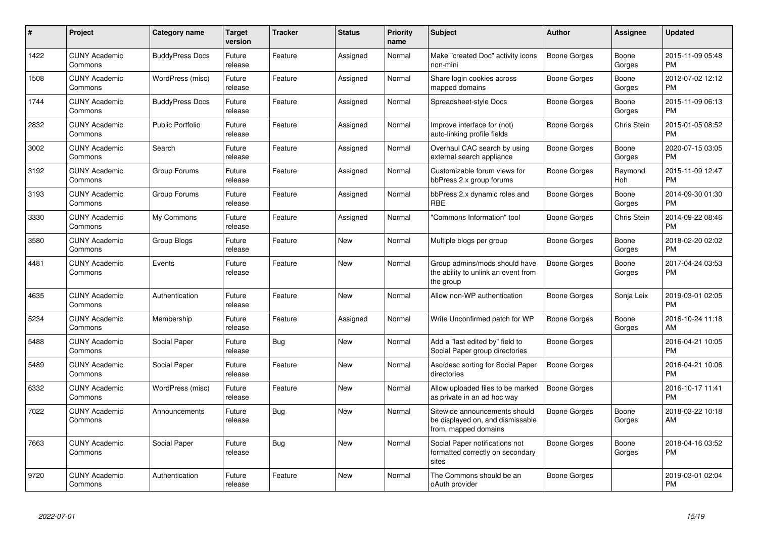| $\pmb{\#}$ | Project                         | Category name          | <b>Target</b><br>version | <b>Tracker</b> | <b>Status</b> | <b>Priority</b><br>name | <b>Subject</b>                                                                            | <b>Author</b>       | Assignee           | <b>Updated</b>                |
|------------|---------------------------------|------------------------|--------------------------|----------------|---------------|-------------------------|-------------------------------------------------------------------------------------------|---------------------|--------------------|-------------------------------|
| 1422       | <b>CUNY Academic</b><br>Commons | <b>BuddyPress Docs</b> | Future<br>release        | Feature        | Assigned      | Normal                  | Make "created Doc" activity icons<br>non-mini                                             | Boone Gorges        | Boone<br>Gorges    | 2015-11-09 05:48<br><b>PM</b> |
| 1508       | <b>CUNY Academic</b><br>Commons | WordPress (misc)       | Future<br>release        | Feature        | Assigned      | Normal                  | Share login cookies across<br>mapped domains                                              | Boone Gorges        | Boone<br>Gorges    | 2012-07-02 12:12<br><b>PM</b> |
| 1744       | <b>CUNY Academic</b><br>Commons | <b>BuddyPress Docs</b> | Future<br>release        | Feature        | Assigned      | Normal                  | Spreadsheet-style Docs                                                                    | Boone Gorges        | Boone<br>Gorges    | 2015-11-09 06:13<br><b>PM</b> |
| 2832       | <b>CUNY Academic</b><br>Commons | Public Portfolio       | Future<br>release        | Feature        | Assigned      | Normal                  | Improve interface for (not)<br>auto-linking profile fields                                | Boone Gorges        | Chris Stein        | 2015-01-05 08:52<br><b>PM</b> |
| 3002       | <b>CUNY Academic</b><br>Commons | Search                 | Future<br>release        | Feature        | Assigned      | Normal                  | Overhaul CAC search by using<br>external search appliance                                 | Boone Gorges        | Boone<br>Gorges    | 2020-07-15 03:05<br><b>PM</b> |
| 3192       | <b>CUNY Academic</b><br>Commons | Group Forums           | Future<br>release        | Feature        | Assigned      | Normal                  | Customizable forum views for<br>bbPress 2.x group forums                                  | Boone Gorges        | Raymond<br>Hoh     | 2015-11-09 12:47<br><b>PM</b> |
| 3193       | <b>CUNY Academic</b><br>Commons | Group Forums           | Future<br>release        | Feature        | Assigned      | Normal                  | bbPress 2.x dynamic roles and<br><b>RBE</b>                                               | Boone Gorges        | Boone<br>Gorges    | 2014-09-30 01:30<br><b>PM</b> |
| 3330       | <b>CUNY Academic</b><br>Commons | My Commons             | Future<br>release        | Feature        | Assigned      | Normal                  | "Commons Information" tool                                                                | Boone Gorges        | <b>Chris Stein</b> | 2014-09-22 08:46<br><b>PM</b> |
| 3580       | <b>CUNY Academic</b><br>Commons | Group Blogs            | Future<br>release        | Feature        | New           | Normal                  | Multiple blogs per group                                                                  | Boone Gorges        | Boone<br>Gorges    | 2018-02-20 02:02<br><b>PM</b> |
| 4481       | <b>CUNY Academic</b><br>Commons | Events                 | Future<br>release        | Feature        | New           | Normal                  | Group admins/mods should have<br>the ability to unlink an event from<br>the group         | Boone Gorges        | Boone<br>Gorges    | 2017-04-24 03:53<br><b>PM</b> |
| 4635       | <b>CUNY Academic</b><br>Commons | Authentication         | Future<br>release        | Feature        | <b>New</b>    | Normal                  | Allow non-WP authentication                                                               | Boone Gorges        | Sonja Leix         | 2019-03-01 02:05<br><b>PM</b> |
| 5234       | <b>CUNY Academic</b><br>Commons | Membership             | Future<br>release        | Feature        | Assigned      | Normal                  | Write Unconfirmed patch for WP                                                            | Boone Gorges        | Boone<br>Gorges    | 2016-10-24 11:18<br>AM        |
| 5488       | <b>CUNY Academic</b><br>Commons | Social Paper           | Future<br>release        | Bug            | <b>New</b>    | Normal                  | Add a "last edited by" field to<br>Social Paper group directories                         | Boone Gorges        |                    | 2016-04-21 10:05<br><b>PM</b> |
| 5489       | <b>CUNY Academic</b><br>Commons | Social Paper           | Future<br>release        | Feature        | New           | Normal                  | Asc/desc sorting for Social Paper<br>directories                                          | <b>Boone Gorges</b> |                    | 2016-04-21 10:06<br><b>PM</b> |
| 6332       | <b>CUNY Academic</b><br>Commons | WordPress (misc)       | Future<br>release        | Feature        | New           | Normal                  | Allow uploaded files to be marked<br>as private in an ad hoc way                          | Boone Gorges        |                    | 2016-10-17 11:41<br><b>PM</b> |
| 7022       | <b>CUNY Academic</b><br>Commons | Announcements          | Future<br>release        | Bug            | New           | Normal                  | Sitewide announcements should<br>be displayed on, and dismissable<br>from, mapped domains | <b>Boone Gorges</b> | Boone<br>Gorges    | 2018-03-22 10:18<br>AM        |
| 7663       | <b>CUNY Academic</b><br>Commons | Social Paper           | Future<br>release        | Bug            | <b>New</b>    | Normal                  | Social Paper notifications not<br>formatted correctly on secondary<br>sites               | Boone Gorges        | Boone<br>Gorges    | 2018-04-16 03:52<br><b>PM</b> |
| 9720       | <b>CUNY Academic</b><br>Commons | Authentication         | Future<br>release        | Feature        | New           | Normal                  | The Commons should be an<br>oAuth provider                                                | Boone Gorges        |                    | 2019-03-01 02:04<br><b>PM</b> |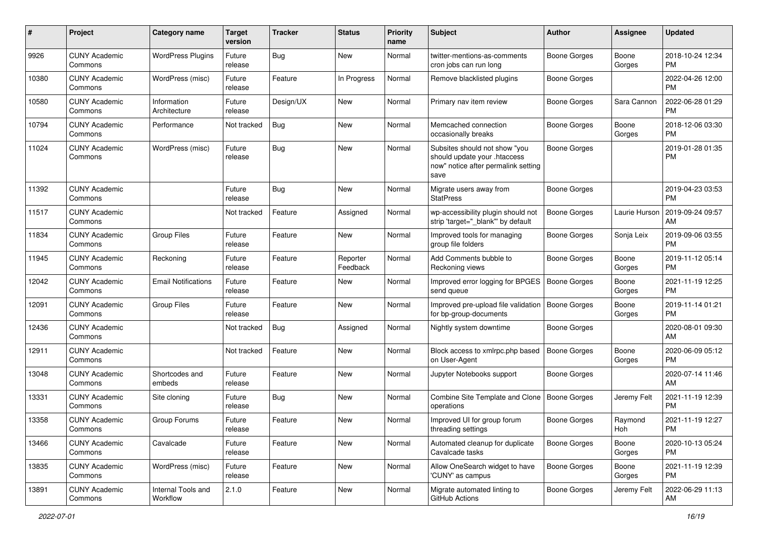| #     | Project                         | <b>Category name</b>           | <b>Target</b><br>version | Tracker    | <b>Status</b>        | <b>Priority</b><br>name | Subject                                                                                                      | Author              | Assignee        | <b>Updated</b>                |
|-------|---------------------------------|--------------------------------|--------------------------|------------|----------------------|-------------------------|--------------------------------------------------------------------------------------------------------------|---------------------|-----------------|-------------------------------|
| 9926  | <b>CUNY Academic</b><br>Commons | <b>WordPress Plugins</b>       | Future<br>release        | Bug        | <b>New</b>           | Normal                  | twitter-mentions-as-comments<br>cron jobs can run long                                                       | Boone Gorges        | Boone<br>Gorges | 2018-10-24 12:34<br><b>PM</b> |
| 10380 | <b>CUNY Academic</b><br>Commons | WordPress (misc)               | Future<br>release        | Feature    | In Progress          | Normal                  | Remove blacklisted plugins                                                                                   | <b>Boone Gorges</b> |                 | 2022-04-26 12:00<br><b>PM</b> |
| 10580 | <b>CUNY Academic</b><br>Commons | Information<br>Architecture    | Future<br>release        | Design/UX  | <b>New</b>           | Normal                  | Primary nav item review                                                                                      | <b>Boone Gorges</b> | Sara Cannon     | 2022-06-28 01:29<br><b>PM</b> |
| 10794 | <b>CUNY Academic</b><br>Commons | Performance                    | Not tracked              | Bug        | <b>New</b>           | Normal                  | Memcached connection<br>occasionally breaks                                                                  | <b>Boone Gorges</b> | Boone<br>Gorges | 2018-12-06 03:30<br>PM        |
| 11024 | <b>CUNY Academic</b><br>Commons | WordPress (misc)               | Future<br>release        | <b>Bug</b> | New                  | Normal                  | Subsites should not show "you<br>should update your .htaccess<br>now" notice after permalink setting<br>save | <b>Boone Gorges</b> |                 | 2019-01-28 01:35<br><b>PM</b> |
| 11392 | <b>CUNY Academic</b><br>Commons |                                | Future<br>release        | Bug        | New                  | Normal                  | Migrate users away from<br><b>StatPress</b>                                                                  | <b>Boone Gorges</b> |                 | 2019-04-23 03:53<br><b>PM</b> |
| 11517 | <b>CUNY Academic</b><br>Commons |                                | Not tracked              | Feature    | Assigned             | Normal                  | wp-accessibility plugin should not<br>strip 'target="_blank"' by default                                     | <b>Boone Gorges</b> | Laurie Hurson   | 2019-09-24 09:57<br>AM        |
| 11834 | <b>CUNY Academic</b><br>Commons | <b>Group Files</b>             | Future<br>release        | Feature    | New                  | Normal                  | Improved tools for managing<br>group file folders                                                            | <b>Boone Gorges</b> | Sonja Leix      | 2019-09-06 03:55<br><b>PM</b> |
| 11945 | <b>CUNY Academic</b><br>Commons | Reckoning                      | Future<br>release        | Feature    | Reporter<br>Feedback | Normal                  | Add Comments bubble to<br>Reckoning views                                                                    | <b>Boone Gorges</b> | Boone<br>Gorges | 2019-11-12 05:14<br><b>PM</b> |
| 12042 | <b>CUNY Academic</b><br>Commons | <b>Email Notifications</b>     | Future<br>release        | Feature    | <b>New</b>           | Normal                  | Improved error logging for BPGES<br>send queue                                                               | Boone Gorges        | Boone<br>Gorges | 2021-11-19 12:25<br><b>PM</b> |
| 12091 | <b>CUNY Academic</b><br>Commons | <b>Group Files</b>             | Future<br>release        | Feature    | <b>New</b>           | Normal                  | Improved pre-upload file validation<br>for bp-group-documents                                                | Boone Gorges        | Boone<br>Gorges | 2019-11-14 01:21<br><b>PM</b> |
| 12436 | <b>CUNY Academic</b><br>Commons |                                | Not tracked              | Bug        | Assigned             | Normal                  | Nightly system downtime                                                                                      | <b>Boone Gorges</b> |                 | 2020-08-01 09:30<br>AM        |
| 12911 | <b>CUNY Academic</b><br>Commons |                                | Not tracked              | Feature    | <b>New</b>           | Normal                  | Block access to xmlrpc.php based<br>on User-Agent                                                            | <b>Boone Gorges</b> | Boone<br>Gorges | 2020-06-09 05:12<br><b>PM</b> |
| 13048 | <b>CUNY Academic</b><br>Commons | Shortcodes and<br>embeds       | Future<br>release        | Feature    | <b>New</b>           | Normal                  | Jupyter Notebooks support                                                                                    | <b>Boone Gorges</b> |                 | 2020-07-14 11:46<br>AM        |
| 13331 | <b>CUNY Academic</b><br>Commons | Site cloning                   | Future<br>release        | Bug        | New                  | Normal                  | Combine Site Template and Clone   Boone Gorges<br>operations                                                 |                     | Jeremy Felt     | 2021-11-19 12:39<br><b>PM</b> |
| 13358 | <b>CUNY Academic</b><br>Commons | Group Forums                   | Future<br>release        | Feature    | New                  | Normal                  | Improved UI for group forum<br>threading settings                                                            | <b>Boone Gorges</b> | Raymond<br>Hoh  | 2021-11-19 12:27<br>PM        |
| 13466 | <b>CUNY Academic</b><br>Commons | Cavalcade                      | Future<br>release        | Feature    | New                  | Normal                  | Automated cleanup for duplicate<br>Cavalcade tasks                                                           | Boone Gorges        | Boone<br>Gorges | 2020-10-13 05:24<br><b>PM</b> |
| 13835 | <b>CUNY Academic</b><br>Commons | WordPress (misc)               | Future<br>release        | Feature    | New                  | Normal                  | Allow OneSearch widget to have<br>'CUNY' as campus                                                           | <b>Boone Gorges</b> | Boone<br>Gorges | 2021-11-19 12:39<br><b>PM</b> |
| 13891 | <b>CUNY Academic</b><br>Commons | Internal Tools and<br>Workflow | 2.1.0                    | Feature    | New                  | Normal                  | Migrate automated linting to<br>GitHub Actions                                                               | Boone Gorges        | Jeremy Felt     | 2022-06-29 11:13<br>AM        |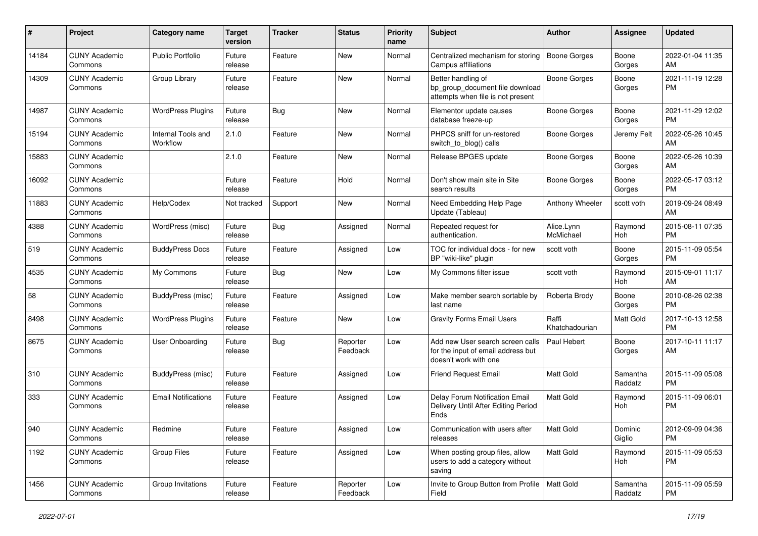| #     | Project                         | Category name                  | <b>Target</b><br>version | Tracker | <b>Status</b>        | <b>Priority</b><br>name | <b>Subject</b>                                                                                  | Author                  | Assignee            | <b>Updated</b>                |
|-------|---------------------------------|--------------------------------|--------------------------|---------|----------------------|-------------------------|-------------------------------------------------------------------------------------------------|-------------------------|---------------------|-------------------------------|
| 14184 | <b>CUNY Academic</b><br>Commons | Public Portfolio               | Future<br>release        | Feature | <b>New</b>           | Normal                  | Centralized mechanism for storing<br>Campus affiliations                                        | <b>Boone Gorges</b>     | Boone<br>Gorges     | 2022-01-04 11:35<br>AM        |
| 14309 | <b>CUNY Academic</b><br>Commons | Group Library                  | Future<br>release        | Feature | New                  | Normal                  | Better handling of<br>bp_group_document file download<br>attempts when file is not present      | <b>Boone Gorges</b>     | Boone<br>Gorges     | 2021-11-19 12:28<br><b>PM</b> |
| 14987 | <b>CUNY Academic</b><br>Commons | <b>WordPress Plugins</b>       | Future<br>release        | Bug     | New                  | Normal                  | Elementor update causes<br>database freeze-up                                                   | <b>Boone Gorges</b>     | Boone<br>Gorges     | 2021-11-29 12:02<br><b>PM</b> |
| 15194 | <b>CUNY Academic</b><br>Commons | Internal Tools and<br>Workflow | 2.1.0                    | Feature | <b>New</b>           | Normal                  | PHPCS sniff for un-restored<br>switch_to_blog() calls                                           | <b>Boone Gorges</b>     | Jeremy Felt         | 2022-05-26 10:45<br>AM        |
| 15883 | <b>CUNY Academic</b><br>Commons |                                | 2.1.0                    | Feature | <b>New</b>           | Normal                  | Release BPGES update                                                                            | <b>Boone Gorges</b>     | Boone<br>Gorges     | 2022-05-26 10:39<br>AM        |
| 16092 | <b>CUNY Academic</b><br>Commons |                                | Future<br>release        | Feature | Hold                 | Normal                  | Don't show main site in Site<br>search results                                                  | <b>Boone Gorges</b>     | Boone<br>Gorges     | 2022-05-17 03:12<br><b>PM</b> |
| 11883 | <b>CUNY Academic</b><br>Commons | Help/Codex                     | Not tracked              | Support | <b>New</b>           | Normal                  | Need Embedding Help Page<br>Update (Tableau)                                                    | Anthony Wheeler         | scott voth          | 2019-09-24 08:49<br>AM        |
| 4388  | <b>CUNY Academic</b><br>Commons | WordPress (misc)               | Future<br>release        | Bug     | Assigned             | Normal                  | Repeated request for<br>authentication.                                                         | Alice.Lynn<br>McMichael | Raymond<br>Hoh      | 2015-08-11 07:35<br><b>PM</b> |
| 519   | <b>CUNY Academic</b><br>Commons | <b>BuddyPress Docs</b>         | Future<br>release        | Feature | Assigned             | Low                     | TOC for individual docs - for new<br>BP "wiki-like" plugin                                      | scott voth              | Boone<br>Gorges     | 2015-11-09 05:54<br><b>PM</b> |
| 4535  | <b>CUNY Academic</b><br>Commons | My Commons                     | Future<br>release        | Bug     | New                  | Low                     | My Commons filter issue                                                                         | scott voth              | Raymond<br>Hoh      | 2015-09-01 11:17<br>AM        |
| 58    | <b>CUNY Academic</b><br>Commons | <b>BuddyPress (misc)</b>       | Future<br>release        | Feature | Assigned             | Low                     | Make member search sortable by<br>last name                                                     | Roberta Brody           | Boone<br>Gorges     | 2010-08-26 02:38<br><b>PM</b> |
| 8498  | <b>CUNY Academic</b><br>Commons | <b>WordPress Plugins</b>       | Future<br>release        | Feature | <b>New</b>           | Low                     | <b>Gravity Forms Email Users</b>                                                                | Raffi<br>Khatchadourian | Matt Gold           | 2017-10-13 12:58<br><b>PM</b> |
| 8675  | <b>CUNY Academic</b><br>Commons | User Onboarding                | Future<br>release        | Bug     | Reporter<br>Feedback | Low                     | Add new User search screen calls<br>for the input of email address but<br>doesn't work with one | Paul Hebert             | Boone<br>Gorges     | 2017-10-11 11:17<br>AM        |
| 310   | <b>CUNY Academic</b><br>Commons | <b>BuddyPress</b> (misc)       | Future<br>release        | Feature | Assigned             | Low                     | <b>Friend Request Email</b>                                                                     | <b>Matt Gold</b>        | Samantha<br>Raddatz | 2015-11-09 05:08<br><b>PM</b> |
| 333   | <b>CUNY Academic</b><br>Commons | <b>Email Notifications</b>     | Future<br>release        | Feature | Assigned             | Low                     | Delay Forum Notification Email<br>Delivery Until After Editing Period<br>Ends                   | Matt Gold               | Raymond<br>Hoh      | 2015-11-09 06:01<br><b>PM</b> |
| 940   | <b>CUNY Academic</b><br>Commons | Redmine                        | Future<br>release        | Feature | Assigned             | Low                     | Communication with users after<br>releases                                                      | Matt Gold               | Dominic<br>Giglio   | 2012-09-09 04:36<br><b>PM</b> |
| 1192  | <b>CUNY Academic</b><br>Commons | <b>Group Files</b>             | Future<br>release        | Feature | Assigned             | Low                     | When posting group files, allow<br>users to add a category without<br>saving                    | Matt Gold               | Raymond<br>Hoh      | 2015-11-09 05:53<br><b>PM</b> |
| 1456  | <b>CUNY Academic</b><br>Commons | Group Invitations              | Future<br>release        | Feature | Reporter<br>Feedback | Low                     | Invite to Group Button from Profile   Matt Gold<br>Field                                        |                         | Samantha<br>Raddatz | 2015-11-09 05:59<br><b>PM</b> |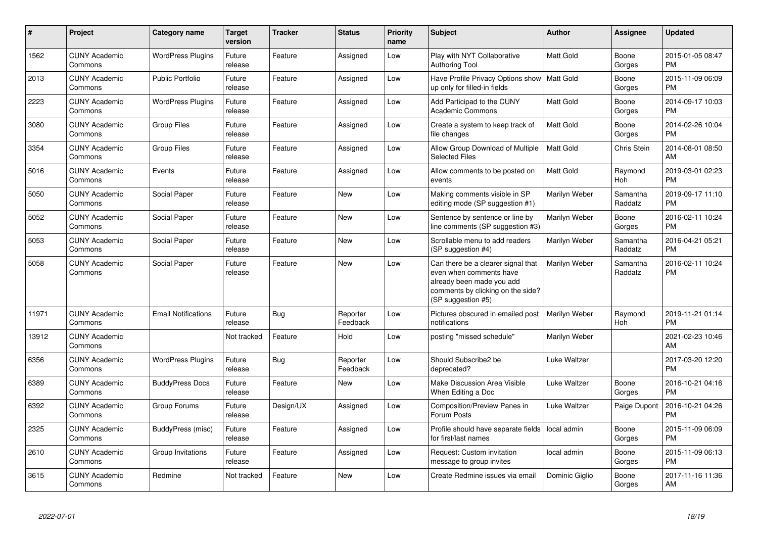| $\#$  | Project                         | <b>Category name</b>       | <b>Target</b><br>version | <b>Tracker</b> | <b>Status</b>        | <b>Priority</b><br>name | <b>Subject</b>                                                                                                                                        | <b>Author</b>    | Assignee            | <b>Updated</b>                |
|-------|---------------------------------|----------------------------|--------------------------|----------------|----------------------|-------------------------|-------------------------------------------------------------------------------------------------------------------------------------------------------|------------------|---------------------|-------------------------------|
| 1562  | <b>CUNY Academic</b><br>Commons | <b>WordPress Plugins</b>   | Future<br>release        | Feature        | Assigned             | Low                     | Play with NYT Collaborative<br><b>Authoring Tool</b>                                                                                                  | Matt Gold        | Boone<br>Gorges     | 2015-01-05 08:47<br><b>PM</b> |
| 2013  | <b>CUNY Academic</b><br>Commons | <b>Public Portfolio</b>    | Future<br>release        | Feature        | Assigned             | Low                     | Have Profile Privacy Options show   Matt Gold<br>up only for filled-in fields                                                                         |                  | Boone<br>Gorges     | 2015-11-09 06:09<br><b>PM</b> |
| 2223  | <b>CUNY Academic</b><br>Commons | <b>WordPress Plugins</b>   | Future<br>release        | Feature        | Assigned             | Low                     | Add Participad to the CUNY<br><b>Academic Commons</b>                                                                                                 | Matt Gold        | Boone<br>Gorges     | 2014-09-17 10:03<br><b>PM</b> |
| 3080  | <b>CUNY Academic</b><br>Commons | <b>Group Files</b>         | Future<br>release        | Feature        | Assigned             | Low                     | Create a system to keep track of<br>file changes                                                                                                      | Matt Gold        | Boone<br>Gorges     | 2014-02-26 10:04<br><b>PM</b> |
| 3354  | <b>CUNY Academic</b><br>Commons | <b>Group Files</b>         | Future<br>release        | Feature        | Assigned             | Low                     | Allow Group Download of Multiple<br><b>Selected Files</b>                                                                                             | <b>Matt Gold</b> | Chris Stein         | 2014-08-01 08:50<br>AM        |
| 5016  | <b>CUNY Academic</b><br>Commons | Events                     | Future<br>release        | Feature        | Assigned             | Low                     | Allow comments to be posted on<br>events                                                                                                              | <b>Matt Gold</b> | Raymond<br>Hoh      | 2019-03-01 02:23<br><b>PM</b> |
| 5050  | <b>CUNY Academic</b><br>Commons | Social Paper               | Future<br>release        | Feature        | New                  | Low                     | Making comments visible in SP<br>editing mode (SP suggestion #1)                                                                                      | Marilyn Weber    | Samantha<br>Raddatz | 2019-09-17 11:10<br><b>PM</b> |
| 5052  | <b>CUNY Academic</b><br>Commons | Social Paper               | Future<br>release        | Feature        | <b>New</b>           | Low                     | Sentence by sentence or line by<br>line comments (SP suggestion #3)                                                                                   | Marilyn Weber    | Boone<br>Gorges     | 2016-02-11 10:24<br><b>PM</b> |
| 5053  | <b>CUNY Academic</b><br>Commons | Social Paper               | Future<br>release        | Feature        | <b>New</b>           | Low                     | Scrollable menu to add readers<br>(SP suggestion #4)                                                                                                  | Marilyn Weber    | Samantha<br>Raddatz | 2016-04-21 05:21<br><b>PM</b> |
| 5058  | <b>CUNY Academic</b><br>Commons | Social Paper               | Future<br>release        | Feature        | <b>New</b>           | Low                     | Can there be a clearer signal that<br>even when comments have<br>already been made you add<br>comments by clicking on the side?<br>(SP suggestion #5) | Marilyn Weber    | Samantha<br>Raddatz | 2016-02-11 10:24<br><b>PM</b> |
| 11971 | <b>CUNY Academic</b><br>Commons | <b>Email Notifications</b> | Future<br>release        | Bug            | Reporter<br>Feedback | Low                     | Pictures obscured in emailed post<br>notifications                                                                                                    | Marilyn Weber    | Raymond<br>Hoh      | 2019-11-21 01:14<br><b>PM</b> |
| 13912 | <b>CUNY Academic</b><br>Commons |                            | Not tracked              | Feature        | Hold                 | Low                     | posting "missed schedule"                                                                                                                             | Marilyn Weber    |                     | 2021-02-23 10:46<br>AM        |
| 6356  | <b>CUNY Academic</b><br>Commons | <b>WordPress Plugins</b>   | Future<br>release        | Bug            | Reporter<br>Feedback | Low                     | Should Subscribe2 be<br>deprecated?                                                                                                                   | Luke Waltzer     |                     | 2017-03-20 12:20<br><b>PM</b> |
| 6389  | <b>CUNY Academic</b><br>Commons | <b>BuddyPress Docs</b>     | Future<br>release        | Feature        | New                  | Low                     | Make Discussion Area Visible<br>When Editing a Doc                                                                                                    | Luke Waltzer     | Boone<br>Gorges     | 2016-10-21 04:16<br><b>PM</b> |
| 6392  | <b>CUNY Academic</b><br>Commons | Group Forums               | Future<br>release        | Design/UX      | Assigned             | Low                     | Composition/Preview Panes in<br>Forum Posts                                                                                                           | Luke Waltzer     | Paige Dupont        | 2016-10-21 04:26<br><b>PM</b> |
| 2325  | <b>CUNY Academic</b><br>Commons | BuddyPress (misc)          | Future<br>release        | Feature        | Assigned             | Low                     | Profile should have separate fields<br>for first/last names                                                                                           | local admin      | Boone<br>Gorges     | 2015-11-09 06:09<br><b>PM</b> |
| 2610  | <b>CUNY Academic</b><br>Commons | Group Invitations          | Future<br>release        | Feature        | Assigned             | Low                     | Request: Custom invitation<br>message to group invites                                                                                                | local admin      | Boone<br>Gorges     | 2015-11-09 06:13<br><b>PM</b> |
| 3615  | <b>CUNY Academic</b><br>Commons | Redmine                    | Not tracked              | Feature        | <b>New</b>           | Low                     | Create Redmine issues via email                                                                                                                       | Dominic Giglio   | Boone<br>Gorges     | 2017-11-16 11:36<br>AM        |